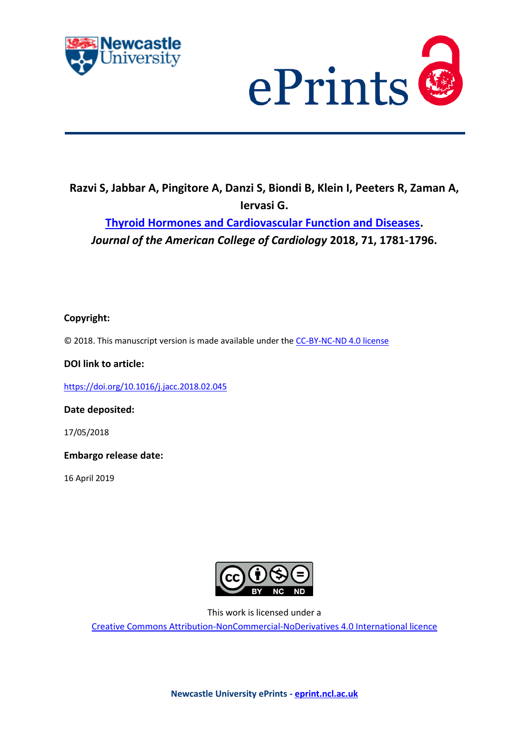



# **Razvi S, Jabbar A, Pingitore A, Danzi S, Biondi B, Klein I, Peeters R, Zaman A, Iervasi G.**

**[Thyroid Hormones and Cardiovascular Function and Diseases.](https://myimpact.ncl.ac.uk/ViewPublication.aspx?id=247847)**  *Journal of the American College of Cardiology* **2018, 71, 1781-1796.**

# **Copyright:**

© 2018. This manuscript version is made available under the [CC-BY-NC-ND 4.0 license](http://creativecommons.org/licenses/by-nc-nd/4.0/)

**DOI link to article:**

<https://doi.org/10.1016/j.jacc.2018.02.045>

**Date deposited:** 

17/05/2018

**Embargo release date:**

16 April 2019



This work is licensed under a

[Creative Commons Attribution-NonCommercial-NoDerivatives 4.0 International licence](https://creativecommons.org/licenses/by-nc-nd/4.0/)

**Newcastle University ePrints - [eprint.ncl.ac.uk](http://eprint.ncl.ac.uk/)**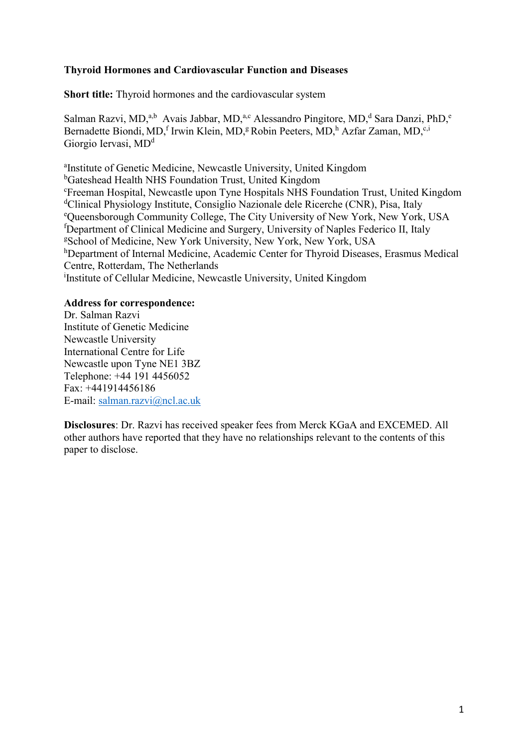## **Thyroid Hormones and Cardiovascular Function and Diseases**

**Short title:** Thyroid hormones and the cardiovascular system

Salman Razvi, MD,<sup>a,b</sup> Avais Jabbar, MD,<sup>a,c</sup> Alessandro Pingitore, MD,<sup>d</sup> Sara Danzi, PhD,<sup>e</sup> Bernadette Biondi, MD,<sup>f</sup> Irwin Klein, MD,<sup>g</sup> Robin Peeters, MD,<sup>h</sup> Azfar Zaman, MD,<sup>c,i</sup> Giorgio Iervasi, MD<sup>d</sup>

a Institute of Genetic Medicine, Newcastle University, United Kingdom <sup>b</sup>Gateshead Health NHS Foundation Trust, United Kingdom <sup>c</sup>Freeman Hospital, Newcastle upon Tyne Hospitals NHS Foundation Trust, United Kingdom <sup>d</sup>Clinical Physiology Institute, Consiglio Nazionale dele Ricerche (CNR), Pisa, Italy <sup>e</sup>Queensborough Community College, The City University of New York, New York, USA <sup>f</sup>Department of Clinical Medicine and Surgery, University of Naples Federico II, Italy <sup>g</sup>School of Medicine, New York University, New York, New York, USA hDepartment of Internal Medicine, Academic Center for Thyroid Diseases, Erasmus Medical Centre, Rotterdam, The Netherlands i Institute of Cellular Medicine, Newcastle University, United Kingdom

## **Address for correspondence:**

Dr. Salman Razvi Institute of Genetic Medicine Newcastle University International Centre for Life Newcastle upon Tyne NE1 3BZ Telephone: +44 191 4456052 Fax: +441914456186 E-mail: [salman.razvi@ncl.ac.uk](mailto:salman.razvi@ncl.ac.uk)

**Disclosures**: Dr. Razvi has received speaker fees from Merck KGaA and EXCEMED. All other authors have reported that they have no relationships relevant to the contents of this paper to disclose.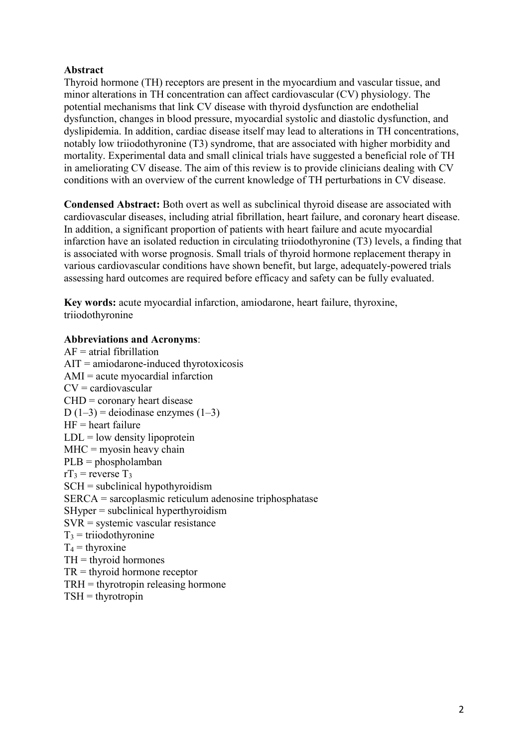## **Abstract**

Thyroid hormone (TH) receptors are present in the myocardium and vascular tissue, and minor alterations in TH concentration can affect cardiovascular (CV) physiology. The potential mechanisms that link CV disease with thyroid dysfunction are endothelial dysfunction, changes in blood pressure, myocardial systolic and diastolic dysfunction, and dyslipidemia. In addition, cardiac disease itself may lead to alterations in TH concentrations, notably low triiodothyronine (T3) syndrome, that are associated with higher morbidity and mortality. Experimental data and small clinical trials have suggested a beneficial role of TH in ameliorating CV disease. The aim of this review is to provide clinicians dealing with CV conditions with an overview of the current knowledge of TH perturbations in CV disease.

**Condensed Abstract:** Both overt as well as subclinical thyroid disease are associated with cardiovascular diseases, including atrial fibrillation, heart failure, and coronary heart disease. In addition, a significant proportion of patients with heart failure and acute myocardial infarction have an isolated reduction in circulating triiodothyronine (T3) levels, a finding that is associated with worse prognosis. Small trials of thyroid hormone replacement therapy in various cardiovascular conditions have shown benefit, but large, adequately-powered trials assessing hard outcomes are required before efficacy and safety can be fully evaluated.

**Key words:** acute myocardial infarction, amiodarone, heart failure, thyroxine, triiodothyronine

#### **Abbreviations and Acronyms**:

 $AF =$ atrial fibrillation AIT = amiodarone-induced thyrotoxicosis AMI = acute myocardial infarction  $CV =$  cardiovascular  $CHD = \text{coronary heart disease}$ D  $(1-3)$  = deiodinase enzymes  $(1-3)$  $HF =$  heart failure  $LDL = low density lipoprotein$  $MHC =$  myosin heavy chain PLB = phospholamban  $rT_3$  = reverse  $T_3$ SCH = subclinical hypothyroidism SERCA = sarcoplasmic reticulum adenosine triphosphatase SHyper = subclinical hyperthyroidism SVR = systemic vascular resistance  $T_3$  = triiodothyronine  $T_4$  = thyroxine  $TH =$  thyroid hormones TR = thyroid hormone receptor TRH = thyrotropin releasing hormone  $TSH =$ thyrotropin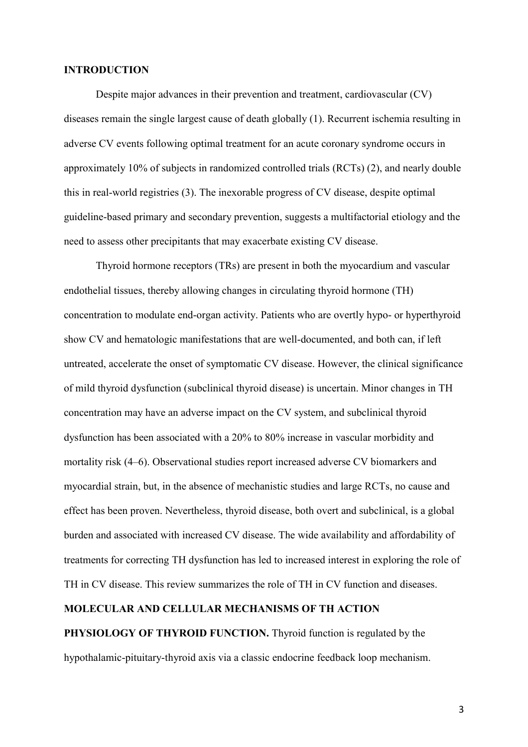#### **INTRODUCTION**

Despite major advances in their prevention and treatment, cardiovascular (CV) diseases remain the single largest cause of death globally (1). Recurrent ischemia resulting in adverse CV events following optimal treatment for an acute coronary syndrome occurs in approximately 10% of subjects in randomized controlled trials (RCTs) (2), and nearly double this in real-world registries (3). The inexorable progress of CV disease, despite optimal guideline-based primary and secondary prevention, suggests a multifactorial etiology and the need to assess other precipitants that may exacerbate existing CV disease.

Thyroid hormone receptors (TRs) are present in both the myocardium and vascular endothelial tissues, thereby allowing changes in circulating thyroid hormone (TH) concentration to modulate end-organ activity. Patients who are overtly hypo- or hyperthyroid show CV and hematologic manifestations that are well-documented, and both can, if left untreated, accelerate the onset of symptomatic CV disease. However, the clinical significance of mild thyroid dysfunction (subclinical thyroid disease) is uncertain. Minor changes in TH concentration may have an adverse impact on the CV system, and subclinical thyroid dysfunction has been associated with a 20% to 80% increase in vascular morbidity and mortality risk (4–6). Observational studies report increased adverse CV biomarkers and myocardial strain, but, in the absence of mechanistic studies and large RCTs, no cause and effect has been proven. Nevertheless, thyroid disease, both overt and subclinical, is a global burden and associated with increased CV disease. The wide availability and affordability of treatments for correcting TH dysfunction has led to increased interest in exploring the role of TH in CV disease. This review summarizes the role of TH in CV function and diseases.

### **MOLECULAR AND CELLULAR MECHANISMS OF TH ACTION**

**PHYSIOLOGY OF THYROID FUNCTION.** Thyroid function is regulated by the hypothalamic-pituitary-thyroid axis via a classic endocrine feedback loop mechanism.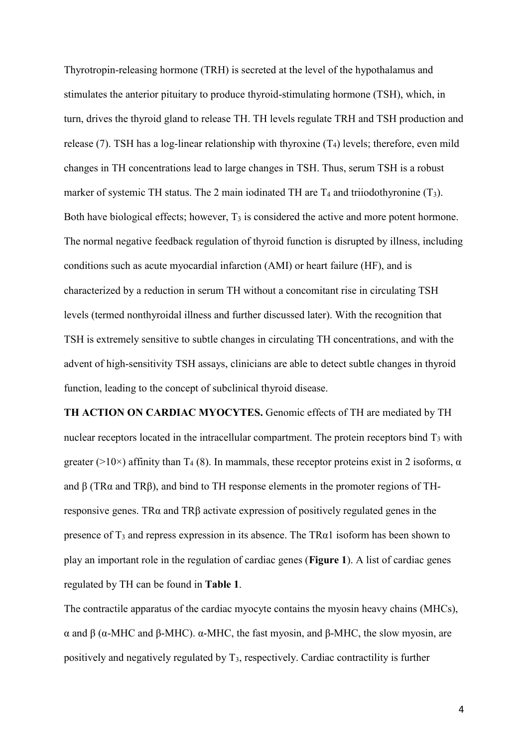Thyrotropin-releasing hormone (TRH) is secreted at the level of the hypothalamus and stimulates the anterior pituitary to produce thyroid-stimulating hormone (TSH), which, in turn, drives the thyroid gland to release TH. TH levels regulate TRH and TSH production and release (7). TSH has a log-linear relationship with thyroxine  $(T_4)$  levels; therefore, even mild changes in TH concentrations lead to large changes in TSH. Thus, serum TSH is a robust marker of systemic TH status. The 2 main iodinated TH are  $T_4$  and triiodothyronine  $(T_3)$ . Both have biological effects; however, T<sub>3</sub> is considered the active and more potent hormone. The normal negative feedback regulation of thyroid function is disrupted by illness, including conditions such as acute myocardial infarction (AMI) or heart failure (HF), and is characterized by a reduction in serum TH without a concomitant rise in circulating TSH levels (termed nonthyroidal illness and further discussed later). With the recognition that TSH is extremely sensitive to subtle changes in circulating TH concentrations, and with the advent of high-sensitivity TSH assays, clinicians are able to detect subtle changes in thyroid function, leading to the concept of subclinical thyroid disease.

**TH ACTION ON CARDIAC MYOCYTES.** Genomic effects of TH are mediated by TH nuclear receptors located in the intracellular compartment. The protein receptors bind  $T_3$  with greater ( $>10\times$ ) affinity than T<sub>4</sub> (8). In mammals, these receptor proteins exist in 2 isoforms,  $\alpha$ and β (TRα and TRβ), and bind to TH response elements in the promoter regions of THresponsive genes. TRα and TRβ activate expression of positively regulated genes in the presence of  $T_3$  and repress expression in its absence. The TR $\alpha$ 1 isoform has been shown to play an important role in the regulation of cardiac genes (**Figure 1**). A list of cardiac genes regulated by TH can be found in **Table 1**.

The contractile apparatus of the cardiac myocyte contains the myosin heavy chains (MHCs), α and β (α-MHC and β-MHC). α-MHC, the fast myosin, and β-MHC, the slow myosin, are positively and negatively regulated by T3, respectively. Cardiac contractility is further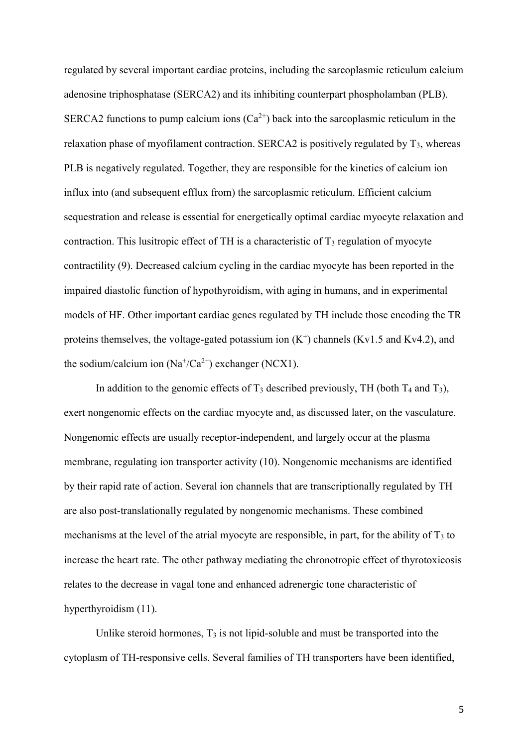regulated by several important cardiac proteins, including the sarcoplasmic reticulum calcium adenosine triphosphatase (SERCA2) and its inhibiting counterpart phospholamban (PLB). SERCA2 functions to pump calcium ions  $(Ca^{2+})$  back into the sarcoplasmic reticulum in the relaxation phase of myofilament contraction. SERCA2 is positively regulated by  $T_3$ , whereas PLB is negatively regulated. Together, they are responsible for the kinetics of calcium ion influx into (and subsequent efflux from) the sarcoplasmic reticulum. Efficient calcium sequestration and release is essential for energetically optimal cardiac myocyte relaxation and contraction. This lusitropic effect of TH is a characteristic of  $T_3$  regulation of myocyte contractility (9). Decreased calcium cycling in the cardiac myocyte has been reported in the impaired diastolic function of hypothyroidism, with aging in humans, and in experimental models of HF. Other important cardiac genes regulated by TH include those encoding the TR proteins themselves, the voltage-gated potassium ion  $(K^+)$  channels (Kv1.5 and Kv4.2), and the sodium/calcium ion  $(Na^{\dagger}/Ca^{2+})$  exchanger (NCX1).

In addition to the genomic effects of  $T_3$  described previously, TH (both  $T_4$  and  $T_3$ ), exert nongenomic effects on the cardiac myocyte and, as discussed later, on the vasculature. Nongenomic effects are usually receptor-independent, and largely occur at the plasma membrane, regulating ion transporter activity (10). Nongenomic mechanisms are identified by their rapid rate of action. Several ion channels that are transcriptionally regulated by TH are also post-translationally regulated by nongenomic mechanisms. These combined mechanisms at the level of the atrial myocyte are responsible, in part, for the ability of  $T_3$  to increase the heart rate. The other pathway mediating the chronotropic effect of thyrotoxicosis relates to the decrease in vagal tone and enhanced adrenergic tone characteristic of hyperthyroidism (11).

Unlike steroid hormones,  $T_3$  is not lipid-soluble and must be transported into the cytoplasm of TH-responsive cells. Several families of TH transporters have been identified,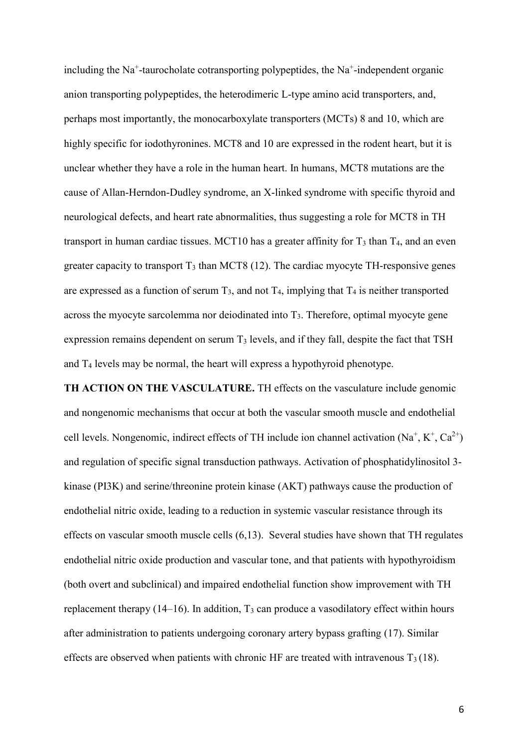including the Na<sup>+</sup>-taurocholate cotransporting polypeptides, the Na<sup>+</sup>-independent organic anion transporting polypeptides, the heterodimeric L-type amino acid transporters, and, perhaps most importantly, the monocarboxylate transporters (MCTs) 8 and 10, which are highly specific for iodothyronines. MCT8 and 10 are expressed in the rodent heart, but it is unclear whether they have a role in the human heart. In humans, MCT8 mutations are the cause of Allan-Herndon-Dudley syndrome, an X-linked syndrome with specific thyroid and neurological defects, and heart rate abnormalities, thus suggesting a role for MCT8 in TH transport in human cardiac tissues. MCT10 has a greater affinity for  $T_3$  than  $T_4$ , and an even greater capacity to transport  $T_3$  than MCT8 (12). The cardiac myocyte TH-responsive genes are expressed as a function of serum  $T_3$ , and not  $T_4$ , implying that  $T_4$  is neither transported across the myocyte sarcolemma nor deiodinated into  $T_3$ . Therefore, optimal myocyte gene expression remains dependent on serum  $T_3$  levels, and if they fall, despite the fact that TSH and  $T_4$  levels may be normal, the heart will express a hypothyroid phenotype.

**TH ACTION ON THE VASCULATURE.** TH effects on the vasculature include genomic and nongenomic mechanisms that occur at both the vascular smooth muscle and endothelial cell levels. Nongenomic, indirect effects of TH include ion channel activation  $(Na^+, K^+, Ca^{2+})$ and regulation of specific signal transduction pathways. Activation of phosphatidylinositol 3 kinase (PI3K) and serine/threonine protein kinase (AKT) pathways cause the production of endothelial nitric oxide, leading to a reduction in systemic vascular resistance through its effects on vascular smooth muscle cells (6,13). Several studies have shown that TH regulates endothelial nitric oxide production and vascular tone, and that patients with hypothyroidism (both overt and subclinical) and impaired endothelial function show improvement with TH replacement therapy  $(14–16)$ . In addition,  $T_3$  can produce a vasodilatory effect within hours after administration to patients undergoing coronary artery bypass grafting (17). Similar effects are observed when patients with chronic HF are treated with intravenous  $T_3(18)$ .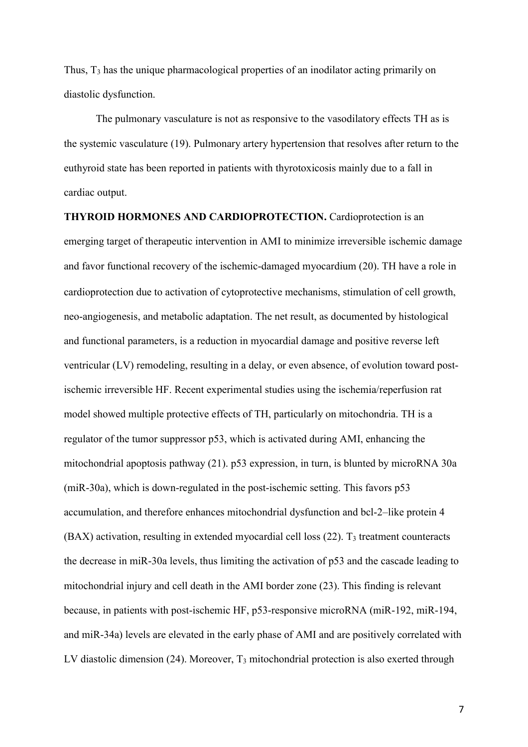Thus, T<sup>3</sup> has the unique pharmacological properties of an inodilator acting primarily on diastolic dysfunction.

The pulmonary vasculature is not as responsive to the vasodilatory effects TH as is the systemic vasculature (19). Pulmonary artery hypertension that resolves after return to the euthyroid state has been reported in patients with thyrotoxicosis mainly due to a fall in cardiac output.

**THYROID HORMONES AND CARDIOPROTECTION.** Cardioprotection is an emerging target of therapeutic intervention in AMI to minimize irreversible ischemic damage and favor functional recovery of the ischemic-damaged myocardium (20). TH have a role in cardioprotection due to activation of cytoprotective mechanisms, stimulation of cell growth, neo-angiogenesis, and metabolic adaptation. The net result, as documented by histological and functional parameters, is a reduction in myocardial damage and positive reverse left ventricular (LV) remodeling, resulting in a delay, or even absence, of evolution toward postischemic irreversible HF. Recent experimental studies using the ischemia/reperfusion rat model showed multiple protective effects of TH, particularly on mitochondria. TH is a regulator of the tumor suppressor p53, which is activated during AMI, enhancing the mitochondrial apoptosis pathway (21). p53 expression, in turn, is blunted by microRNA 30a (miR-30a), which is down-regulated in the post-ischemic setting. This favors p53 accumulation, and therefore enhances mitochondrial dysfunction and bcl-2–like protein 4  $(BAX)$  activation, resulting in extended myocardial cell loss  $(22)$ . T<sub>3</sub> treatment counteracts the decrease in miR-30a levels, thus limiting the activation of p53 and the cascade leading to mitochondrial injury and cell death in the AMI border zone (23). This finding is relevant because, in patients with post-ischemic HF, p53-responsive microRNA (miR-192, miR-194, and miR-34a) levels are elevated in the early phase of AMI and are positively correlated with LV diastolic dimension  $(24)$ . Moreover,  $T_3$  mitochondrial protection is also exerted through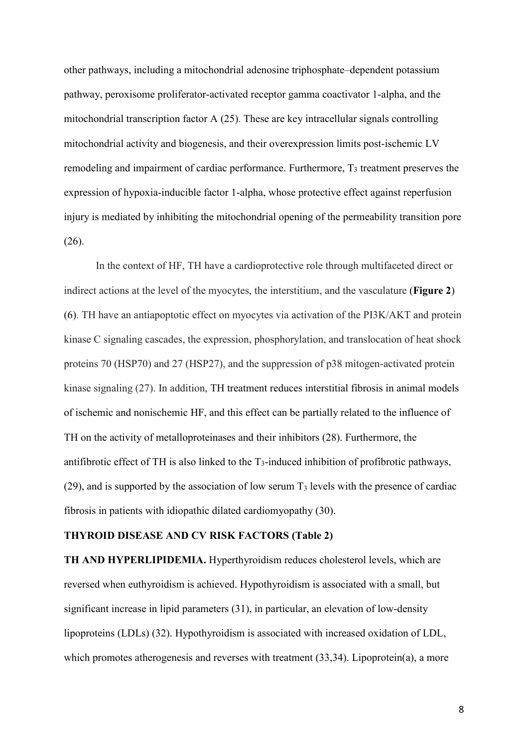other pathways, including a mitochondrial adenosine triphosphate–dependent potassium pathway, peroxisome proliferator-activated receptor gamma coactivator 1-alpha, and the mitochondrial transcription factor A (25). These are key intracellular signals controlling mitochondrial activity and biogenesis, and their overexpression limits post-ischemic LV remodeling and impairment of cardiac performance. Furthermore, T<sub>3</sub> treatment preserves the expression of hypoxia-inducible factor 1-alpha, whose protective effect against reperfusion injury is mediated by inhibiting the mitochondrial opening of the permeability transition pore (26).

In the context of HF, TH have a cardioprotective role through multifaceted direct or indirect actions at the level of the myocytes, the interstitium, and the vasculature (**Figure 2**) (6). TH have an antiapoptotic effect on myocytes via activation of the PI3K/AKT and protein kinase C signaling cascades, the expression, phosphorylation, and translocation of heat shock proteins 70 (HSP70) and 27 (HSP27), and the suppression of p38 mitogen-activated protein kinase signaling (27). In addition, TH treatment reduces interstitial fibrosis in animal models of ischemic and nonischemic HF, and this effect can be partially related to the influence of TH on the activity of metalloproteinases and their inhibitors (28). Furthermore, the antifibrotic effect of TH is also linked to the T3-induced inhibition of profibrotic pathways, (29), and is supported by the association of low serum  $T_3$  levels with the presence of cardiac fibrosis in patients with idiopathic dilated cardiomyopathy (30).

#### **THYROID DISEASE AND CV RISK FACTORS (Table 2)**

**TH AND HYPERLIPIDEMIA.** Hyperthyroidism reduces cholesterol levels, which are reversed when euthyroidism is achieved. Hypothyroidism is associated with a small, but significant increase in lipid parameters (31), in particular, an elevation of low-density lipoproteins (LDLs) (32). Hypothyroidism is associated with increased oxidation of LDL, which promotes atherogenesis and reverses with treatment (33,34). Lipoprotein(a), a more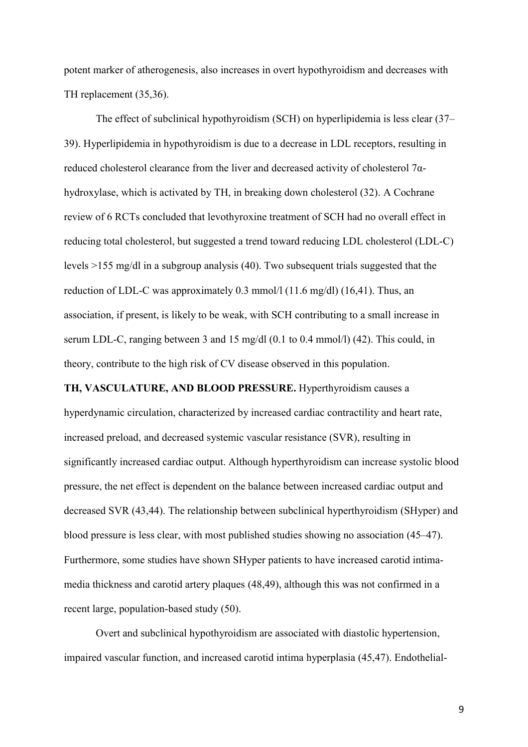potent marker of atherogenesis, also increases in overt hypothyroidism and decreases with TH replacement (35,36).

The effect of subclinical hypothyroidism (SCH) on hyperlipidemia is less clear (37– 39). Hyperlipidemia in hypothyroidism is due to a decrease in LDL receptors, resulting in reduced cholesterol clearance from the liver and decreased activity of cholesterol 7αhydroxylase, which is activated by TH, in breaking down cholesterol (32). A Cochrane review of 6 RCTs concluded that levothyroxine treatment of SCH had no overall effect in reducing total cholesterol, but suggested a trend toward reducing LDL cholesterol (LDL-C) levels >155 mg/dl in a subgroup analysis (40). Two subsequent trials suggested that the reduction of LDL-C was approximately 0.3 mmol/l (11.6 mg/dl) (16,41). Thus, an association, if present, is likely to be weak, with SCH contributing to a small increase in serum LDL-C, ranging between 3 and 15 mg/dl (0.1 to 0.4 mmol/l) (42). This could, in theory, contribute to the high risk of CV disease observed in this population.

**TH, VASCULATURE, AND BLOOD PRESSURE.** Hyperthyroidism causes a hyperdynamic circulation, characterized by increased cardiac contractility and heart rate, increased preload, and decreased systemic vascular resistance (SVR), resulting in significantly increased cardiac output. Although hyperthyroidism can increase systolic blood pressure, the net effect is dependent on the balance between increased cardiac output and decreased SVR (43,44). The relationship between subclinical hyperthyroidism (SHyper) and blood pressure is less clear, with most published studies showing no association (45–47). Furthermore, some studies have shown SHyper patients to have increased carotid intimamedia thickness and carotid artery plaques (48,49), although this was not confirmed in a recent large, population-based study (50).

Overt and subclinical hypothyroidism are associated with diastolic hypertension, impaired vascular function, and increased carotid intima hyperplasia (45,47). Endothelial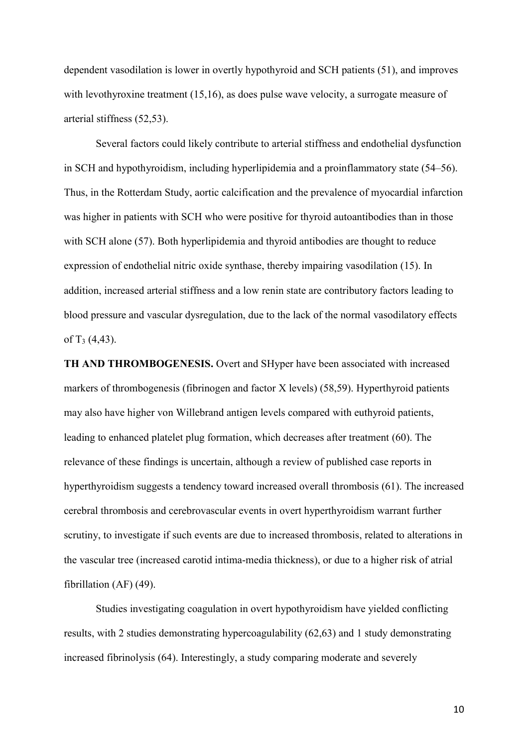dependent vasodilation is lower in overtly hypothyroid and SCH patients (51), and improves with levothyroxine treatment (15,16), as does pulse wave velocity, a surrogate measure of arterial stiffness (52,53).

Several factors could likely contribute to arterial stiffness and endothelial dysfunction in SCH and hypothyroidism, including hyperlipidemia and a proinflammatory state (54–56). Thus, in the Rotterdam Study, aortic calcification and the prevalence of myocardial infarction was higher in patients with SCH who were positive for thyroid autoantibodies than in those with SCH alone (57). Both hyperlipidemia and thyroid antibodies are thought to reduce expression of endothelial nitric oxide synthase, thereby impairing vasodilation (15). In addition, increased arterial stiffness and a low renin state are contributory factors leading to blood pressure and vascular dysregulation, due to the lack of the normal vasodilatory effects of  $T_3$  (4,43).

**TH AND THROMBOGENESIS.** Overt and SHyper have been associated with increased markers of thrombogenesis (fibrinogen and factor X levels) (58,59). Hyperthyroid patients may also have higher von Willebrand antigen levels compared with euthyroid patients, leading to enhanced platelet plug formation, which decreases after treatment (60). The relevance of these findings is uncertain, although a review of published case reports in hyperthyroidism suggests a tendency toward increased overall thrombosis (61). The increased cerebral thrombosis and cerebrovascular events in overt hyperthyroidism warrant further scrutiny, to investigate if such events are due to increased thrombosis, related to alterations in the vascular tree (increased carotid intima-media thickness), or due to a higher risk of atrial fibrillation (AF) (49).

Studies investigating coagulation in overt hypothyroidism have yielded conflicting results, with 2 studies demonstrating hypercoagulability (62,63) and 1 study demonstrating increased fibrinolysis (64). Interestingly, a study comparing moderate and severely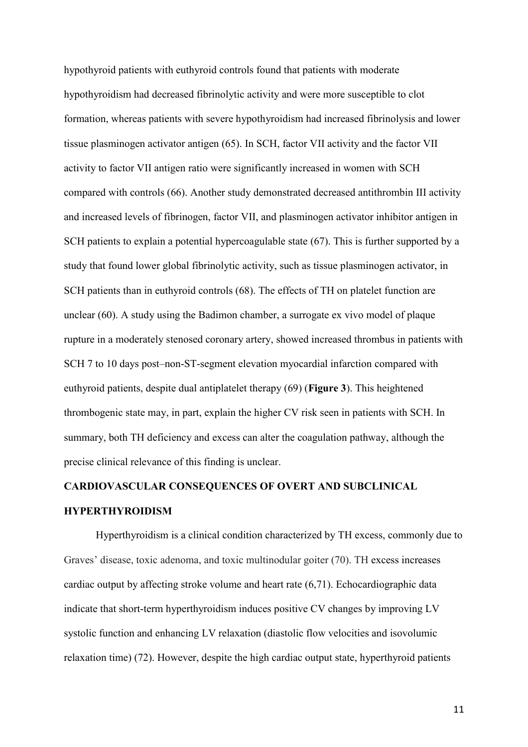hypothyroid patients with euthyroid controls found that patients with moderate hypothyroidism had decreased fibrinolytic activity and were more susceptible to clot formation, whereas patients with severe hypothyroidism had increased fibrinolysis and lower tissue plasminogen activator antigen (65). In SCH, factor VII activity and the factor VII activity to factor VII antigen ratio were significantly increased in women with SCH compared with controls (66). Another study demonstrated decreased antithrombin III activity and increased levels of fibrinogen, factor VII, and plasminogen activator inhibitor antigen in SCH patients to explain a potential hypercoagulable state (67). This is further supported by a study that found lower global fibrinolytic activity, such as tissue plasminogen activator, in SCH patients than in euthyroid controls (68). The effects of TH on platelet function are unclear (60). A study using the Badimon chamber, a surrogate ex vivo model of plaque rupture in a moderately stenosed coronary artery, showed increased thrombus in patients with SCH 7 to 10 days post–non-ST-segment elevation myocardial infarction compared with euthyroid patients, despite dual antiplatelet therapy (69) (**Figure 3**). This heightened thrombogenic state may, in part, explain the higher CV risk seen in patients with SCH. In summary, both TH deficiency and excess can alter the coagulation pathway, although the precise clinical relevance of this finding is unclear.

# **CARDIOVASCULAR CONSEQUENCES OF OVERT AND SUBCLINICAL HYPERTHYROIDISM**

Hyperthyroidism is a clinical condition characterized by TH excess, commonly due to Graves' disease, toxic adenoma, and toxic multinodular goiter (70). TH excess increases cardiac output by affecting stroke volume and heart rate (6,71). Echocardiographic data indicate that short-term hyperthyroidism induces positive CV changes by improving LV systolic function and enhancing LV relaxation (diastolic flow velocities and isovolumic relaxation time) (72). However, despite the high cardiac output state, hyperthyroid patients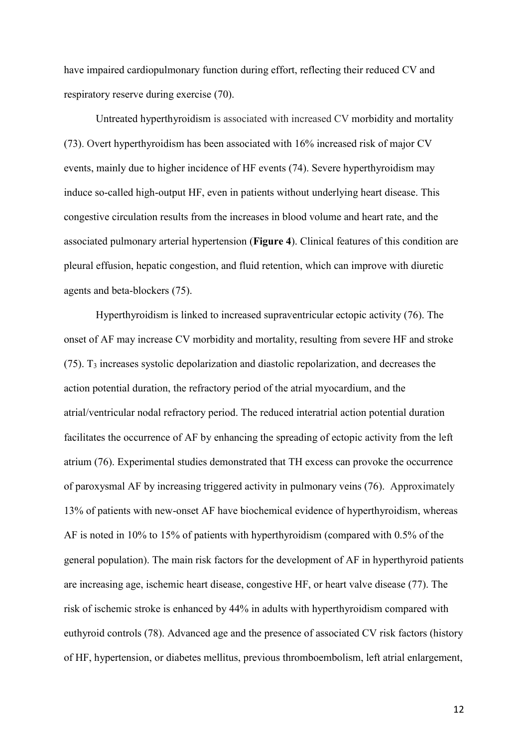have impaired cardiopulmonary function during effort, reflecting their reduced CV and respiratory reserve during exercise (70).

Untreated hyperthyroidism is associated with increased CV morbidity and mortality (73). Overt hyperthyroidism has been associated with 16% increased risk of major CV events, mainly due to higher incidence of HF events (74). Severe hyperthyroidism may induce so-called high-output HF, even in patients without underlying heart disease. This congestive circulation results from the increases in blood volume and heart rate, and the associated pulmonary arterial hypertension (**Figure 4**). Clinical features of this condition are pleural effusion, hepatic congestion, and fluid retention, which can improve with diuretic agents and beta-blockers (75).

Hyperthyroidism is linked to increased supraventricular ectopic activity (76). The onset of AF may increase CV morbidity and mortality, resulting from severe HF and stroke (75). T<sup>3</sup> increases systolic depolarization and diastolic repolarization, and decreases the action potential duration, the refractory period of the atrial myocardium, and the atrial/ventricular nodal refractory period. The reduced interatrial action potential duration facilitates the occurrence of AF by enhancing the spreading of ectopic activity from the left atrium (76). Experimental studies demonstrated that TH excess can provoke the occurrence of paroxysmal AF by increasing triggered activity in pulmonary veins (76). Approximately 13% of patients with new-onset AF have biochemical evidence of hyperthyroidism, whereas AF is noted in 10% to 15% of patients with hyperthyroidism (compared with 0.5% of the general population). The main risk factors for the development of AF in hyperthyroid patients are increasing age, ischemic heart disease, congestive HF, or heart valve disease (77). The risk of ischemic stroke is enhanced by 44% in adults with hyperthyroidism compared with euthyroid controls (78). Advanced age and the presence of associated CV risk factors (history of HF, hypertension, or diabetes mellitus, previous thromboembolism, left atrial enlargement,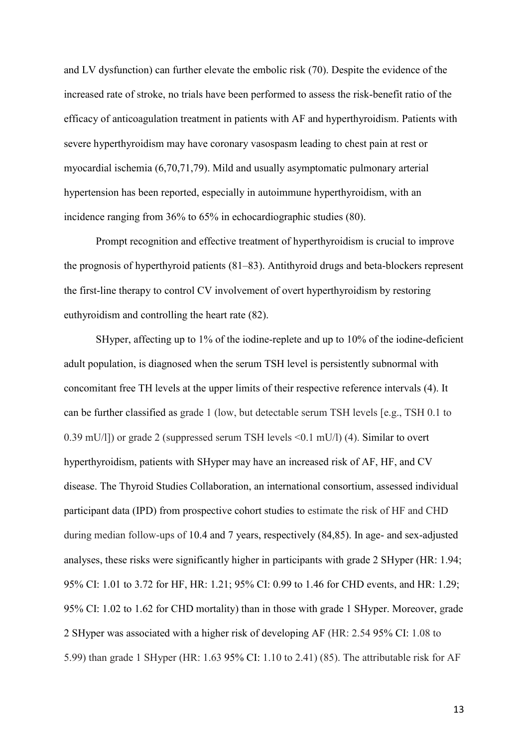and LV dysfunction) can further elevate the embolic risk (70). Despite the evidence of the increased rate of stroke, no trials have been performed to assess the risk-benefit ratio of the efficacy of anticoagulation treatment in patients with AF and hyperthyroidism. Patients with severe hyperthyroidism may have coronary vasospasm leading to chest pain at rest or myocardial ischemia (6,70,71,79). Mild and usually asymptomatic pulmonary arterial hypertension has been reported, especially in autoimmune hyperthyroidism, with an incidence ranging from 36% to 65% in echocardiographic studies (80).

Prompt recognition and effective treatment of hyperthyroidism is crucial to improve the prognosis of hyperthyroid patients (81–83). Antithyroid drugs and beta-blockers represent the first-line therapy to control CV involvement of overt hyperthyroidism by restoring euthyroidism and controlling the heart rate (82).

SHyper, affecting up to 1% of the iodine-replete and up to 10% of the iodine-deficient adult population, is diagnosed when the serum TSH level is persistently subnormal with concomitant free TH levels at the upper limits of their respective reference intervals (4). It can be further classified as grade 1 (low, but detectable serum TSH levels [e.g., TSH 0.1 to 0.39 mU/l]) or grade 2 (suppressed serum TSH levels <0.1 mU/l) (4). Similar to overt hyperthyroidism, patients with SHyper may have an increased risk of AF, HF, and CV disease. The Thyroid Studies Collaboration, an international consortium, assessed individual participant data (IPD) from prospective cohort studies to estimate the risk of HF and CHD during median follow-ups of 10.4 and 7 years, respectively (84,85). In age- and sex-adjusted analyses, these risks were significantly higher in participants with grade 2 SHyper (HR: 1.94; 95% CI: 1.01 to 3.72 for HF, HR: 1.21; 95% CI: 0.99 to 1.46 for CHD events, and HR: 1.29; 95% CI: 1.02 to 1.62 for CHD mortality) than in those with grade 1 SHyper. Moreover, grade 2 SHyper was associated with a higher risk of developing AF (HR: 2.54 95% CI: 1.08 to 5.99) than grade 1 SHyper (HR: 1.63 95% CI: 1.10 to 2.41) (85). The attributable risk for AF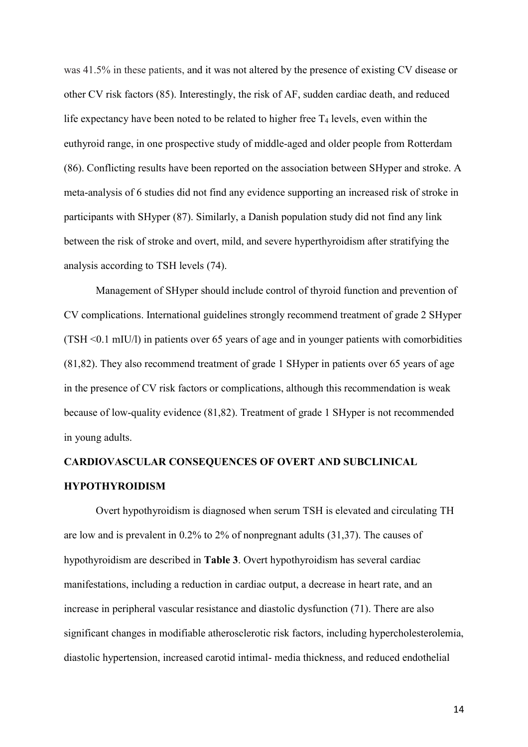was 41.5% in these patients, and it was not altered by the presence of existing CV disease or other CV risk factors (85). Interestingly, the risk of AF, sudden cardiac death, and reduced life expectancy have been noted to be related to higher free  $T_4$  levels, even within the euthyroid range, in one prospective study of middle-aged and older people from Rotterdam (86). Conflicting results have been reported on the association between SHyper and stroke. A meta-analysis of 6 studies did not find any evidence supporting an increased risk of stroke in participants with SHyper (87). Similarly, a Danish population study did not find any link between the risk of stroke and overt, mild, and severe hyperthyroidism after stratifying the analysis according to TSH levels (74).

Management of SHyper should include control of thyroid function and prevention of CV complications. International guidelines strongly recommend treatment of grade 2 SHyper (TSH <0.1 mIU/l) in patients over 65 years of age and in younger patients with comorbidities (81,82). They also recommend treatment of grade 1 SHyper in patients over 65 years of age in the presence of CV risk factors or complications, although this recommendation is weak because of low-quality evidence (81,82). Treatment of grade 1 SHyper is not recommended in young adults.

# **CARDIOVASCULAR CONSEQUENCES OF OVERT AND SUBCLINICAL HYPOTHYROIDISM**

Overt hypothyroidism is diagnosed when serum TSH is elevated and circulating TH are low and is prevalent in 0.2% to 2% of nonpregnant adults (31,37). The causes of hypothyroidism are described in **Table 3**. Overt hypothyroidism has several cardiac manifestations, including a reduction in cardiac output, a decrease in heart rate, and an increase in peripheral vascular resistance and diastolic dysfunction (71). There are also significant changes in modifiable atherosclerotic risk factors, including hypercholesterolemia, diastolic hypertension, increased carotid intimal- media thickness, and reduced endothelial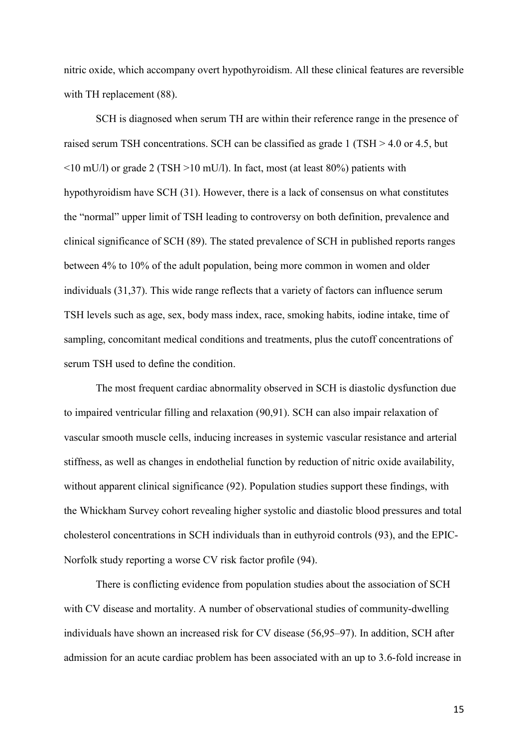nitric oxide, which accompany overt hypothyroidism. All these clinical features are reversible with TH replacement (88).

SCH is diagnosed when serum TH are within their reference range in the presence of raised serum TSH concentrations. SCH can be classified as grade 1 (TSH > 4.0 or 4.5, but <10 mU/l) or grade 2 (TSH >10 mU/l). In fact, most (at least 80%) patients with hypothyroidism have SCH (31). However, there is a lack of consensus on what constitutes the "normal" upper limit of TSH leading to controversy on both definition, prevalence and clinical significance of SCH (89). The stated prevalence of SCH in published reports ranges between 4% to 10% of the adult population, being more common in women and older individuals (31,37). This wide range reflects that a variety of factors can influence serum TSH levels such as age, sex, body mass index, race, smoking habits, iodine intake, time of sampling, concomitant medical conditions and treatments, plus the cutoff concentrations of serum TSH used to define the condition.

The most frequent cardiac abnormality observed in SCH is diastolic dysfunction due to impaired ventricular filling and relaxation (90,91). SCH can also impair relaxation of vascular smooth muscle cells, inducing increases in systemic vascular resistance and arterial stiffness, as well as changes in endothelial function by reduction of nitric oxide availability, without apparent clinical significance (92). Population studies support these findings, with the Whickham Survey cohort revealing higher systolic and diastolic blood pressures and total cholesterol concentrations in SCH individuals than in euthyroid controls (93), and the EPIC-Norfolk study reporting a worse CV risk factor profile (94).

There is conflicting evidence from population studies about the association of SCH with CV disease and mortality. A number of observational studies of community-dwelling individuals have shown an increased risk for CV disease (56,95–97). In addition, SCH after admission for an acute cardiac problem has been associated with an up to 3.6-fold increase in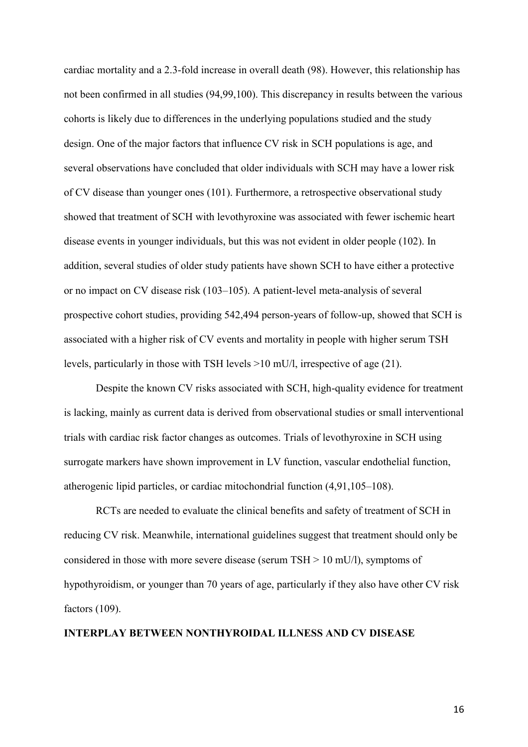cardiac mortality and a 2.3-fold increase in overall death (98). However, this relationship has not been confirmed in all studies (94,99,100). This discrepancy in results between the various cohorts is likely due to differences in the underlying populations studied and the study design. One of the major factors that influence CV risk in SCH populations is age, and several observations have concluded that older individuals with SCH may have a lower risk of CV disease than younger ones (101). Furthermore, a retrospective observational study showed that treatment of SCH with levothyroxine was associated with fewer ischemic heart disease events in younger individuals, but this was not evident in older people (102). In addition, several studies of older study patients have shown SCH to have either a protective or no impact on CV disease risk (103–105). A patient-level meta-analysis of several prospective cohort studies, providing 542,494 person-years of follow-up, showed that SCH is associated with a higher risk of CV events and mortality in people with higher serum TSH levels, particularly in those with TSH levels >10 mU/l, irrespective of age (21).

Despite the known CV risks associated with SCH, high-quality evidence for treatment is lacking, mainly as current data is derived from observational studies or small interventional trials with cardiac risk factor changes as outcomes. Trials of levothyroxine in SCH using surrogate markers have shown improvement in LV function, vascular endothelial function, atherogenic lipid particles, or cardiac mitochondrial function (4,91,105–108).

RCTs are needed to evaluate the clinical benefits and safety of treatment of SCH in reducing CV risk. Meanwhile, international guidelines suggest that treatment should only be considered in those with more severe disease (serum  $TSH > 10$  mU/l), symptoms of hypothyroidism, or younger than 70 years of age, particularly if they also have other CV risk factors (109).

#### **INTERPLAY BETWEEN NONTHYROIDAL ILLNESS AND CV DISEASE**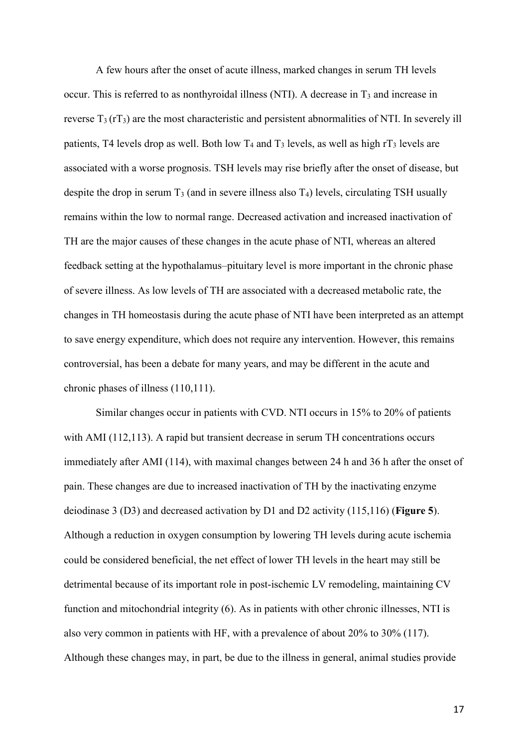A few hours after the onset of acute illness, marked changes in serum TH levels occur. This is referred to as nonthyroidal illness (NTI). A decrease in  $T_3$  and increase in reverse  $T_3$  (rT<sub>3</sub>) are the most characteristic and persistent abnormalities of NTI. In severely ill patients, T4 levels drop as well. Both low  $T_4$  and  $T_3$  levels, as well as high  $rT_3$  levels are associated with a worse prognosis. TSH levels may rise briefly after the onset of disease, but despite the drop in serum  $T_3$  (and in severe illness also  $T_4$ ) levels, circulating TSH usually remains within the low to normal range. Decreased activation and increased inactivation of TH are the major causes of these changes in the acute phase of NTI, whereas an altered feedback setting at the hypothalamus–pituitary level is more important in the chronic phase of severe illness. As low levels of TH are associated with a decreased metabolic rate, the changes in TH homeostasis during the acute phase of NTI have been interpreted as an attempt to save energy expenditure, which does not require any intervention. However, this remains controversial, has been a debate for many years, and may be different in the acute and chronic phases of illness (110,111).

Similar changes occur in patients with CVD. NTI occurs in 15% to 20% of patients with AMI (112,113). A rapid but transient decrease in serum TH concentrations occurs immediately after AMI (114), with maximal changes between 24 h and 36 h after the onset of pain. These changes are due to increased inactivation of TH by the inactivating enzyme deiodinase 3 (D3) and decreased activation by D1 and D2 activity (115,116) (**Figure 5**). Although a reduction in oxygen consumption by lowering TH levels during acute ischemia could be considered beneficial, the net effect of lower TH levels in the heart may still be detrimental because of its important role in post-ischemic LV remodeling, maintaining CV function and mitochondrial integrity (6). As in patients with other chronic illnesses, NTI is also very common in patients with HF, with a prevalence of about 20% to 30% (117). Although these changes may, in part, be due to the illness in general, animal studies provide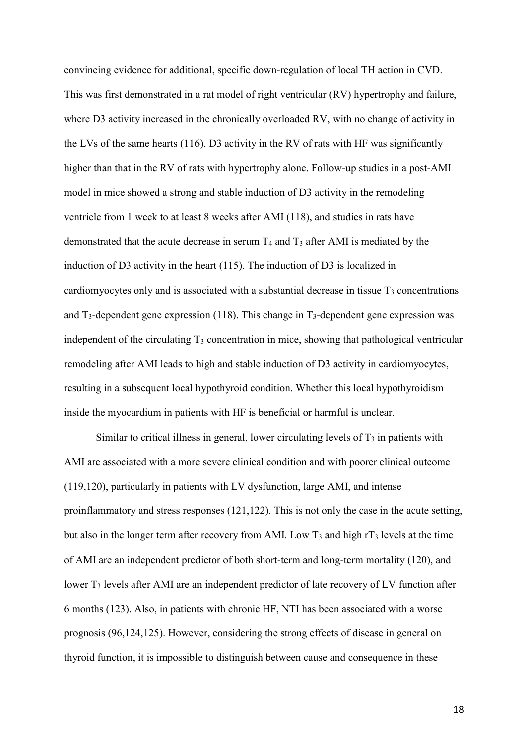convincing evidence for additional, specific down-regulation of local TH action in CVD. This was first demonstrated in a rat model of right ventricular (RV) hypertrophy and failure, where D3 activity increased in the chronically overloaded RV, with no change of activity in the LVs of the same hearts (116). D3 activity in the RV of rats with HF was significantly higher than that in the RV of rats with hypertrophy alone. Follow-up studies in a post-AMI model in mice showed a strong and stable induction of D3 activity in the remodeling ventricle from 1 week to at least 8 weeks after AMI (118), and studies in rats have demonstrated that the acute decrease in serum  $T_4$  and  $T_3$  after AMI is mediated by the induction of D3 activity in the heart (115). The induction of D3 is localized in cardiomyocytes only and is associated with a substantial decrease in tissue  $T<sub>3</sub>$  concentrations and  $T_3$ -dependent gene expression (118). This change in  $T_3$ -dependent gene expression was independent of the circulating T<sub>3</sub> concentration in mice, showing that pathological ventricular remodeling after AMI leads to high and stable induction of D3 activity in cardiomyocytes, resulting in a subsequent local hypothyroid condition. Whether this local hypothyroidism inside the myocardium in patients with HF is beneficial or harmful is unclear.

Similar to critical illness in general, lower circulating levels of  $T_3$  in patients with AMI are associated with a more severe clinical condition and with poorer clinical outcome (119,120), particularly in patients with LV dysfunction, large AMI, and intense proinflammatory and stress responses (121,122). This is not only the case in the acute setting, but also in the longer term after recovery from AMI. Low  $T_3$  and high  $rT_3$  levels at the time of AMI are an independent predictor of both short-term and long-term mortality (120), and lower T<sub>3</sub> levels after AMI are an independent predictor of late recovery of LV function after 6 months (123). Also, in patients with chronic HF, NTI has been associated with a worse prognosis (96,124,125). However, considering the strong effects of disease in general on thyroid function, it is impossible to distinguish between cause and consequence in these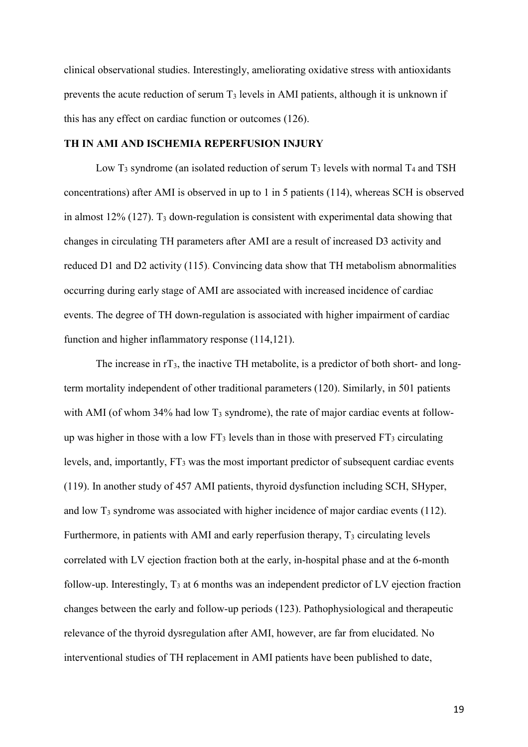clinical observational studies. Interestingly, ameliorating oxidative stress with antioxidants prevents the acute reduction of serum T<sup>3</sup> levels in AMI patients, although it is unknown if this has any effect on cardiac function or outcomes (126).

#### **TH IN AMI AND ISCHEMIA REPERFUSION INJURY**

Low  $T_3$  syndrome (an isolated reduction of serum  $T_3$  levels with normal  $T_4$  and TSH concentrations) after AMI is observed in up to 1 in 5 patients (114), whereas SCH is observed in almost  $12\%$  (127). T<sub>3</sub> down-regulation is consistent with experimental data showing that changes in circulating TH parameters after AMI are a result of increased D3 activity and reduced D1 and D2 activity (115). Convincing data show that TH metabolism abnormalities occurring during early stage of AMI are associated with increased incidence of cardiac events. The degree of TH down-regulation is associated with higher impairment of cardiac function and higher inflammatory response (114,121).

The increase in  $rT_3$ , the inactive TH metabolite, is a predictor of both short- and longterm mortality independent of other traditional parameters (120). Similarly, in 501 patients with AMI (of whom  $34\%$  had low T<sub>3</sub> syndrome), the rate of major cardiac events at followup was higher in those with a low  $FT_3$  levels than in those with preserved  $FT_3$  circulating levels, and, importantly, FT<sup>3</sup> was the most important predictor of subsequent cardiac events (119). In another study of 457 AMI patients, thyroid dysfunction including SCH, SHyper, and low  $T_3$  syndrome was associated with higher incidence of major cardiac events (112). Furthermore, in patients with AMI and early reperfusion therapy,  $T_3$  circulating levels correlated with LV ejection fraction both at the early, in-hospital phase and at the 6-month follow-up. Interestingly,  $T_3$  at 6 months was an independent predictor of LV ejection fraction changes between the early and follow-up periods (123). Pathophysiological and therapeutic relevance of the thyroid dysregulation after AMI, however, are far from elucidated. No interventional studies of TH replacement in AMI patients have been published to date,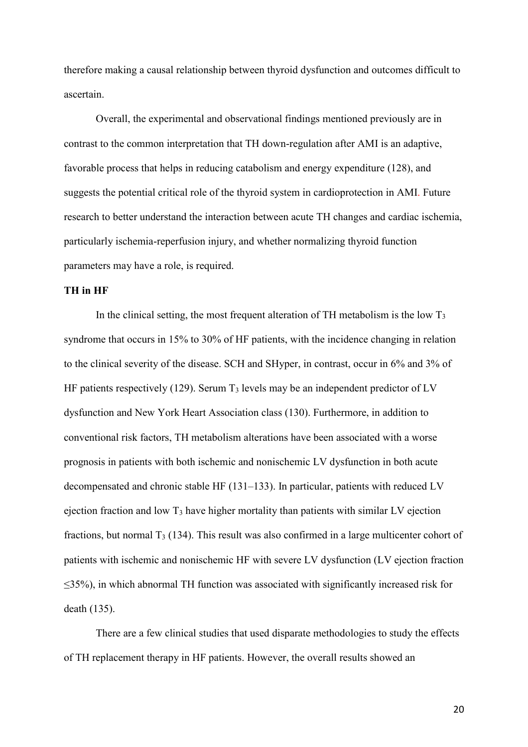therefore making a causal relationship between thyroid dysfunction and outcomes difficult to ascertain.

Overall, the experimental and observational findings mentioned previously are in contrast to the common interpretation that TH down-regulation after AMI is an adaptive, favorable process that helps in reducing catabolism and energy expenditure (128), and suggests the potential critical role of the thyroid system in cardioprotection in AMI. Future research to better understand the interaction between acute TH changes and cardiac ischemia, particularly ischemia-reperfusion injury, and whether normalizing thyroid function parameters may have a role, is required.

## **TH in HF**

In the clinical setting, the most frequent alteration of  $TH$  metabolism is the low  $T_3$ syndrome that occurs in 15% to 30% of HF patients, with the incidence changing in relation to the clinical severity of the disease. SCH and SHyper, in contrast, occur in 6% and 3% of HF patients respectively (129). Serum  $T_3$  levels may be an independent predictor of LV dysfunction and New York Heart Association class (130). Furthermore, in addition to conventional risk factors, TH metabolism alterations have been associated with a worse prognosis in patients with both ischemic and nonischemic LV dysfunction in both acute decompensated and chronic stable HF (131–133). In particular, patients with reduced LV ejection fraction and low  $T_3$  have higher mortality than patients with similar LV ejection fractions, but normal  $T_3$  (134). This result was also confirmed in a large multicenter cohort of patients with ischemic and nonischemic HF with severe LV dysfunction (LV ejection fraction ≤35%), in which abnormal TH function was associated with significantly increased risk for death (135).

There are a few clinical studies that used disparate methodologies to study the effects of TH replacement therapy in HF patients. However, the overall results showed an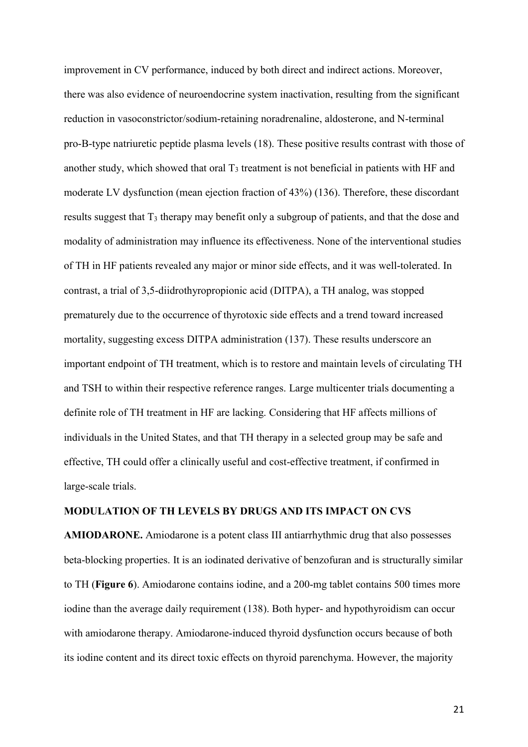improvement in CV performance, induced by both direct and indirect actions. Moreover, there was also evidence of neuroendocrine system inactivation, resulting from the significant reduction in vasoconstrictor/sodium-retaining noradrenaline, aldosterone, and N-terminal pro-B-type natriuretic peptide plasma levels (18). These positive results contrast with those of another study, which showed that oral  $T_3$  treatment is not beneficial in patients with HF and moderate LV dysfunction (mean ejection fraction of 43%) (136). Therefore, these discordant results suggest that T<sub>3</sub> therapy may benefit only a subgroup of patients, and that the dose and modality of administration may influence its effectiveness. None of the interventional studies of TH in HF patients revealed any major or minor side effects, and it was well-tolerated. In contrast, a trial of 3,5-diidrothyropropionic acid (DITPA), a TH analog, was stopped prematurely due to the occurrence of thyrotoxic side effects and a trend toward increased mortality, suggesting excess DITPA administration (137). These results underscore an important endpoint of TH treatment, which is to restore and maintain levels of circulating TH and TSH to within their respective reference ranges. Large multicenter trials documenting a definite role of TH treatment in HF are lacking. Considering that HF affects millions of individuals in the United States, and that TH therapy in a selected group may be safe and effective, TH could offer a clinically useful and cost-effective treatment, if confirmed in large-scale trials.

### **MODULATION OF TH LEVELS BY DRUGS AND ITS IMPACT ON CVS**

**AMIODARONE.** Amiodarone is a potent class III antiarrhythmic drug that also possesses beta-blocking properties. It is an iodinated derivative of benzofuran and is structurally similar to TH (**Figure 6**). Amiodarone contains iodine, and a 200-mg tablet contains 500 times more iodine than the average daily requirement (138). Both hyper- and hypothyroidism can occur with amiodarone therapy. Amiodarone-induced thyroid dysfunction occurs because of both its iodine content and its direct toxic effects on thyroid parenchyma. However, the majority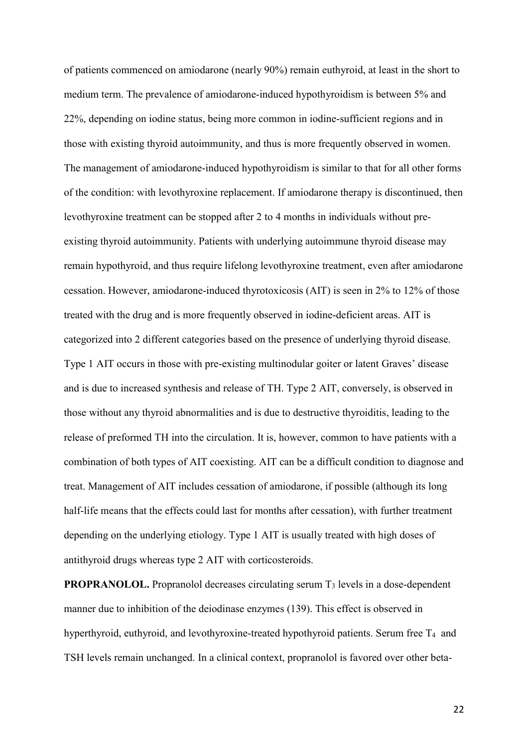of patients commenced on amiodarone (nearly 90%) remain euthyroid, at least in the short to medium term. The prevalence of amiodarone-induced hypothyroidism is between 5% and 22%, depending on iodine status, being more common in iodine-sufficient regions and in those with existing thyroid autoimmunity, and thus is more frequently observed in women. The management of amiodarone-induced hypothyroidism is similar to that for all other forms of the condition: with levothyroxine replacement. If amiodarone therapy is discontinued, then levothyroxine treatment can be stopped after 2 to 4 months in individuals without preexisting thyroid autoimmunity. Patients with underlying autoimmune thyroid disease may remain hypothyroid, and thus require lifelong levothyroxine treatment, even after amiodarone cessation. However, amiodarone-induced thyrotoxicosis (AIT) is seen in 2% to 12% of those treated with the drug and is more frequently observed in iodine-deficient areas. AIT is categorized into 2 different categories based on the presence of underlying thyroid disease. Type 1 AIT occurs in those with pre-existing multinodular goiter or latent Graves' disease and is due to increased synthesis and release of TH. Type 2 AIT, conversely, is observed in those without any thyroid abnormalities and is due to destructive thyroiditis, leading to the release of preformed TH into the circulation. It is, however, common to have patients with a combination of both types of AIT coexisting. AIT can be a difficult condition to diagnose and treat. Management of AIT includes cessation of amiodarone, if possible (although its long half-life means that the effects could last for months after cessation), with further treatment depending on the underlying etiology. Type 1 AIT is usually treated with high doses of antithyroid drugs whereas type 2 AIT with corticosteroids.

**PROPRANOLOL.** Propranolol decreases circulating serum T<sub>3</sub> levels in a dose-dependent manner due to inhibition of the deiodinase enzymes (139). This effect is observed in hyperthyroid, euthyroid, and levothyroxine-treated hypothyroid patients. Serum free  $T_4$  and TSH levels remain unchanged. In a clinical context, propranolol is favored over other beta-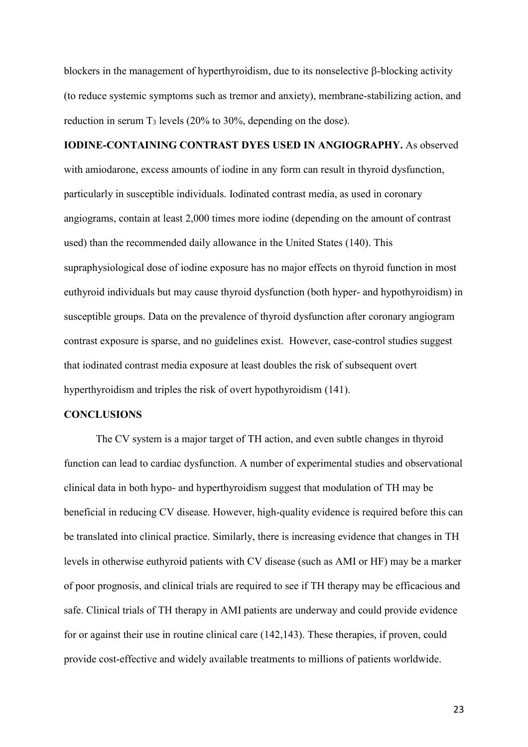blockers in the management of hyperthyroidism, due to its nonselective  $\beta$ -blocking activity (to reduce systemic symptoms such as tremor and anxiety), membrane-stabilizing action, and reduction in serum  $T_3$  levels (20% to 30%, depending on the dose).

# **IODINE-CONTAINING CONTRAST DYES USED IN ANGIOGRAPHY.** As observed

with amiodarone, excess amounts of iodine in any form can result in thyroid dysfunction, particularly in susceptible individuals. Iodinated contrast media, as used in coronary angiograms, contain at least 2,000 times more iodine (depending on the amount of contrast used) than the recommended daily allowance in the United States (140). This supraphysiological dose of iodine exposure has no major effects on thyroid function in most euthyroid individuals but may cause thyroid dysfunction (both hyper- and hypothyroidism) in susceptible groups. Data on the prevalence of thyroid dysfunction after coronary angiogram contrast exposure is sparse, and no guidelines exist. However, case-control studies suggest that iodinated contrast media exposure at least doubles the risk of subsequent overt hyperthyroidism and triples the risk of overt hypothyroidism (141).

#### **CONCLUSIONS**

The CV system is a major target of TH action, and even subtle changes in thyroid function can lead to cardiac dysfunction. A number of experimental studies and observational clinical data in both hypo- and hyperthyroidism suggest that modulation of TH may be beneficial in reducing CV disease. However, high-quality evidence is required before this can be translated into clinical practice. Similarly, there is increasing evidence that changes in TH levels in otherwise euthyroid patients with CV disease (such as AMI or HF) may be a marker of poor prognosis, and clinical trials are required to see if TH therapy may be efficacious and safe. Clinical trials of TH therapy in AMI patients are underway and could provide evidence for or against their use in routine clinical care (142,143). These therapies, if proven, could provide cost-effective and widely available treatments to millions of patients worldwide.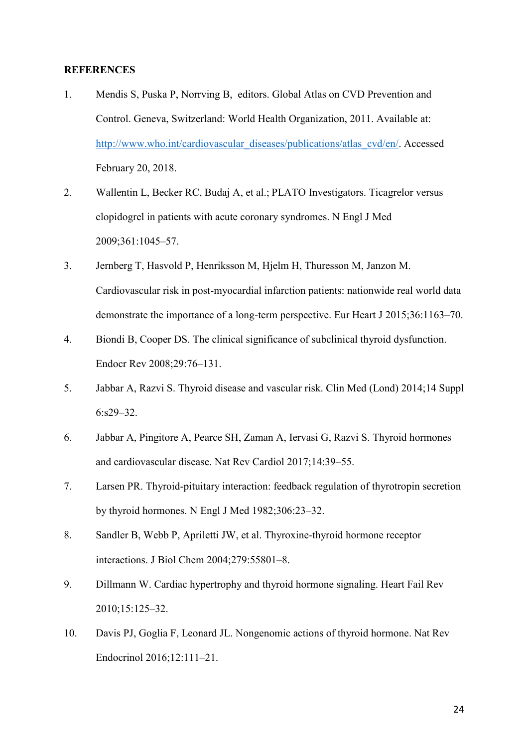#### **REFERENCES**

- 1. Mendis S, Puska P, Norrving B, editors. Global Atlas on CVD Prevention and Control. Geneva, Switzerland: World Health Organization, 2011. Available at: [http://www.who.int/cardiovascular\\_diseases/publications/atlas\\_cvd/en/.](http://www.who.int/cardiovascular_diseases/publications/atlas_cvd/en/) Accessed February 20, 2018.
- 2. Wallentin L, Becker RC, Budaj A, et al.; PLATO Investigators. Ticagrelor versus clopidogrel in patients with acute coronary syndromes. N Engl J Med 2009;361:1045–57.
- 3. Jernberg T, Hasvold P, Henriksson M, Hjelm H, Thuresson M, Janzon M. Cardiovascular risk in post-myocardial infarction patients: nationwide real world data demonstrate the importance of a long-term perspective. Eur Heart J 2015;36:1163–70.
- 4. Biondi B, Cooper DS. The clinical significance of subclinical thyroid dysfunction. Endocr Rev 2008;29:76–131.
- 5. Jabbar A, Razvi S. Thyroid disease and vascular risk. Clin Med (Lond) 2014;14 Suppl 6:s29–32.
- 6. Jabbar A, Pingitore A, Pearce SH, Zaman A, Iervasi G, Razvi S. Thyroid hormones and cardiovascular disease. Nat Rev Cardiol 2017;14:39–55.
- 7. Larsen PR. Thyroid-pituitary interaction: feedback regulation of thyrotropin secretion by thyroid hormones. N Engl J Med 1982;306:23–32.
- 8. Sandler B, Webb P, Apriletti JW, et al. Thyroxine-thyroid hormone receptor interactions. J Biol Chem 2004;279:55801–8.
- 9. Dillmann W. Cardiac hypertrophy and thyroid hormone signaling. Heart Fail Rev 2010;15:125–32.
- 10. Davis PJ, Goglia F, Leonard JL. Nongenomic actions of thyroid hormone. Nat Rev Endocrinol 2016;12:111–21.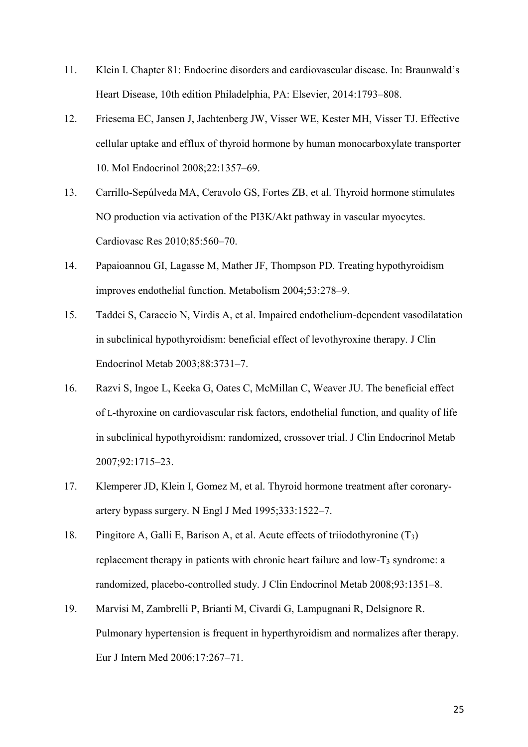- 11. Klein I. Chapter 81: Endocrine disorders and cardiovascular disease. In: Braunwald's Heart Disease, 10th edition Philadelphia, PA: Elsevier, 2014:1793–808.
- 12. Friesema EC, Jansen J, Jachtenberg JW, Visser WE, Kester MH, Visser TJ. Effective cellular uptake and efflux of thyroid hormone by human monocarboxylate transporter 10. Mol Endocrinol 2008;22:1357–69.
- 13. Carrillo-Sepúlveda MA, Ceravolo GS, Fortes ZB, et al. Thyroid hormone stimulates NO production via activation of the PI3K/Akt pathway in vascular myocytes. Cardiovasc Res 2010;85:560–70.
- 14. Papaioannou GI, Lagasse M, Mather JF, Thompson PD. Treating hypothyroidism improves endothelial function. Metabolism 2004;53:278–9.
- 15. Taddei S, Caraccio N, Virdis A, et al. Impaired endothelium-dependent vasodilatation in subclinical hypothyroidism: beneficial effect of levothyroxine therapy. J Clin Endocrinol Metab 2003;88:3731–7.
- 16. Razvi S, Ingoe L, Keeka G, Oates C, McMillan C, Weaver JU. The beneficial effect of L-thyroxine on cardiovascular risk factors, endothelial function, and quality of life in subclinical hypothyroidism: randomized, crossover trial. J Clin Endocrinol Metab 2007;92:1715–23.
- 17. Klemperer JD, Klein I, Gomez M, et al. Thyroid hormone treatment after coronaryartery bypass surgery. N Engl J Med 1995;333:1522–7.
- 18. Pingitore A, Galli E, Barison A, et al. Acute effects of triiodothyronine (T3) replacement therapy in patients with chronic heart failure and low- $T_3$  syndrome: a randomized, placebo-controlled study. J Clin Endocrinol Metab 2008;93:1351–8.
- 19. Marvisi M, Zambrelli P, Brianti M, Civardi G, Lampugnani R, Delsignore R. Pulmonary hypertension is frequent in hyperthyroidism and normalizes after therapy. Eur J Intern Med 2006;17:267–71.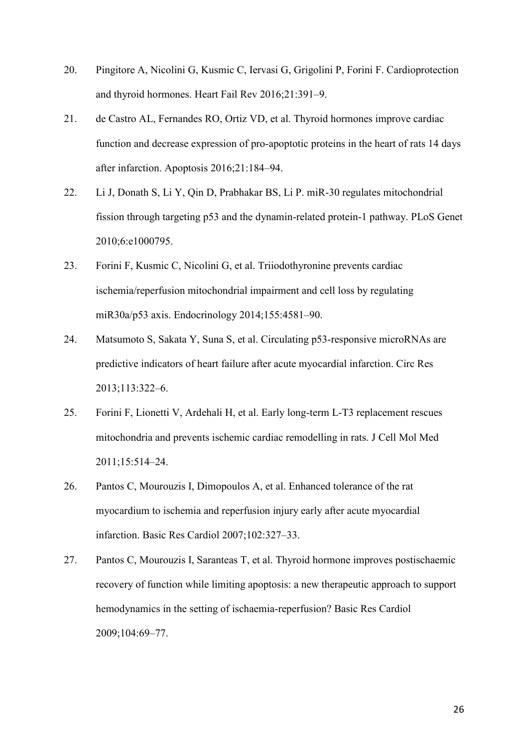- 20. Pingitore A, Nicolini G, Kusmic C, Iervasi G, Grigolini P, Forini F. Cardioprotection and thyroid hormones. Heart Fail Rev 2016;21:391–9.
- 21. de Castro AL, Fernandes RO, Ortiz VD, et al. Thyroid hormones improve cardiac function and decrease expression of pro-apoptotic proteins in the heart of rats 14 days after infarction. Apoptosis 2016;21:184–94.
- 22. Li J, Donath S, Li Y, Qin D, Prabhakar BS, Li P. miR-30 regulates mitochondrial fission through targeting p53 and the dynamin-related protein-1 pathway. PLoS Genet 2010;6:e1000795.
- 23. Forini F, Kusmic C, Nicolini G, et al. Triiodothyronine prevents cardiac ischemia/reperfusion mitochondrial impairment and cell loss by regulating miR30a/p53 axis. Endocrinology 2014;155:4581–90.
- 24. Matsumoto S, Sakata Y, Suna S, et al. Circulating p53-responsive microRNAs are predictive indicators of heart failure after acute myocardial infarction. Circ Res 2013;113:322–6.
- 25. Forini F, Lionetti V, Ardehali H, et al. Early long-term L-T3 replacement rescues mitochondria and prevents ischemic cardiac remodelling in rats. J Cell Mol Med 2011;15:514–24.
- 26. Pantos C, Mourouzis I, Dimopoulos A, et al. Enhanced tolerance of the rat myocardium to ischemia and reperfusion injury early after acute myocardial infarction. Basic Res Cardiol 2007;102:327–33.
- 27. Pantos C, Mourouzis I, Saranteas T, et al. Thyroid hormone improves postischaemic recovery of function while limiting apoptosis: a new therapeutic approach to support hemodynamics in the setting of ischaemia-reperfusion? Basic Res Cardiol 2009;104:69–77.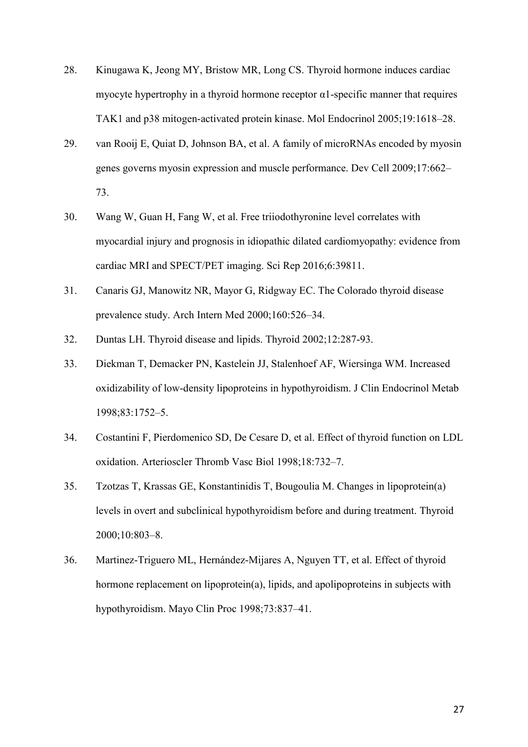- 28. Kinugawa K, Jeong MY, Bristow MR, Long CS. Thyroid hormone induces cardiac myocyte hypertrophy in a thyroid hormone receptor  $\alpha$ 1-specific manner that requires TAK1 and p38 mitogen-activated protein kinase. Mol Endocrinol 2005;19:1618–28.
- 29. van Rooij E, Quiat D, Johnson BA, et al. A family of microRNAs encoded by myosin genes governs myosin expression and muscle performance. Dev Cell 2009;17:662– 73.
- 30. Wang W, Guan H, Fang W, et al. Free triiodothyronine level correlates with myocardial injury and prognosis in idiopathic dilated cardiomyopathy: evidence from cardiac MRI and SPECT/PET imaging. Sci Rep 2016;6:39811.
- 31. Canaris GJ, Manowitz NR, Mayor G, Ridgway EC. The Colorado thyroid disease prevalence study. Arch Intern Med 2000;160:526–34.
- 32. Duntas LH. Thyroid disease and lipids. Thyroid 2002;12:287-93.
- 33. Diekman T, Demacker PN, Kastelein JJ, Stalenhoef AF, Wiersinga WM. Increased oxidizability of low-density lipoproteins in hypothyroidism. J Clin Endocrinol Metab 1998;83:1752–5.
- 34. Costantini F, Pierdomenico SD, De Cesare D, et al. Effect of thyroid function on LDL oxidation. Arterioscler Thromb Vasc Biol 1998;18:732–7.
- 35. Tzotzas T, Krassas GE, Konstantinidis T, Bougoulia M. Changes in lipoprotein(a) levels in overt and subclinical hypothyroidism before and during treatment. Thyroid 2000;10:803–8.
- 36. Martinez-Triguero ML, Hernández-Mijares A, Nguyen TT, et al. Effect of thyroid hormone replacement on lipoprotein(a), lipids, and apolipoproteins in subjects with hypothyroidism. Mayo Clin Proc 1998;73:837–41.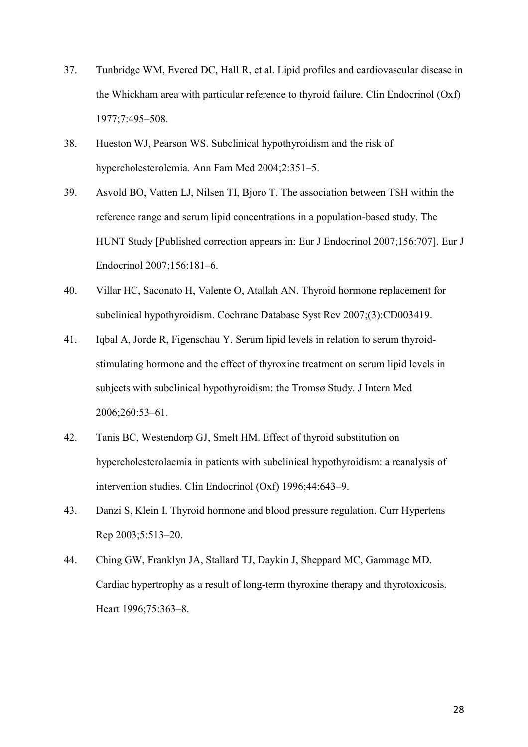- 37. Tunbridge WM, Evered DC, Hall R, et al. Lipid profiles and cardiovascular disease in the Whickham area with particular reference to thyroid failure. Clin Endocrinol (Oxf) 1977;7:495–508.
- 38. Hueston WJ, Pearson WS. Subclinical hypothyroidism and the risk of hypercholesterolemia. Ann Fam Med 2004;2:351–5.
- 39. Asvold BO, Vatten LJ, Nilsen TI, Bjoro T. The association between TSH within the reference range and serum lipid concentrations in a population-based study. The HUNT Study [Published correction appears in: Eur J Endocrinol 2007;156:707]. Eur J Endocrinol 2007;156:181–6.
- 40. Villar HC, Saconato H, Valente O, Atallah AN. Thyroid hormone replacement for subclinical hypothyroidism. Cochrane Database Syst Rev 2007;(3):CD003419.
- 41. Iqbal A, Jorde R, Figenschau Y. Serum lipid levels in relation to serum thyroidstimulating hormone and the effect of thyroxine treatment on serum lipid levels in subjects with subclinical hypothyroidism: the Tromsø Study. J Intern Med 2006;260:53–61.
- 42. Tanis BC, Westendorp GJ, Smelt HM. Effect of thyroid substitution on hypercholesterolaemia in patients with subclinical hypothyroidism: a reanalysis of intervention studies. Clin Endocrinol (Oxf) 1996;44:643–9.
- 43. Danzi S, Klein I. Thyroid hormone and blood pressure regulation. Curr Hypertens Rep 2003;5:513–20.
- 44. Ching GW, Franklyn JA, Stallard TJ, Daykin J, Sheppard MC, Gammage MD. Cardiac hypertrophy as a result of long-term thyroxine therapy and thyrotoxicosis. Heart 1996;75:363–8.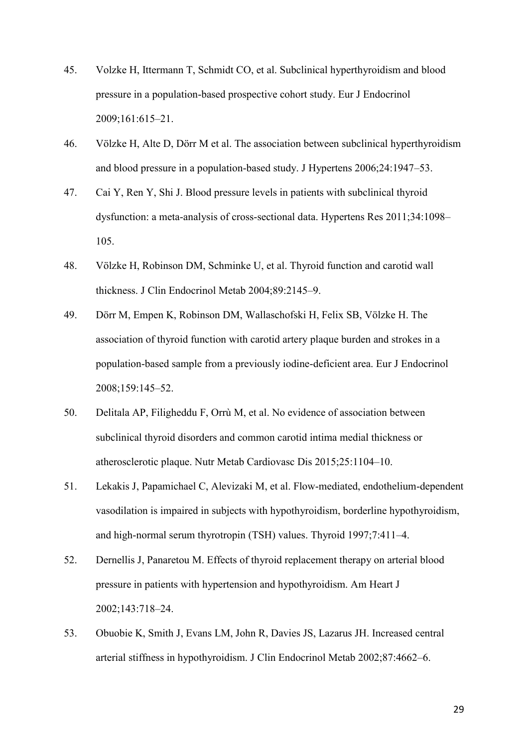- 45. Volzke H, Ittermann T, Schmidt CO, et al. Subclinical hyperthyroidism and blood pressure in a population-based prospective cohort study. Eur J Endocrinol 2009;161:615–21.
- 46. Völzke H, Alte D, Dörr M et al. The association between subclinical hyperthyroidism and blood pressure in a population-based study. J Hypertens 2006;24:1947–53.
- 47. Cai Y, Ren Y, Shi J. Blood pressure levels in patients with subclinical thyroid dysfunction: a meta-analysis of cross-sectional data. Hypertens Res 2011;34:1098– 105.
- 48. Völzke H, Robinson DM, Schminke U, et al. Thyroid function and carotid wall thickness. J Clin Endocrinol Metab 2004;89:2145–9.
- 49. Dörr M, Empen K, Robinson DM, Wallaschofski H, Felix SB, Völzke H. The association of thyroid function with carotid artery plaque burden and strokes in a population-based sample from a previously iodine-deficient area. Eur J Endocrinol 2008;159:145–52.
- 50. Delitala AP, Filigheddu F, Orrù M, et al. No evidence of association between subclinical thyroid disorders and common carotid intima medial thickness or atherosclerotic plaque. Nutr Metab Cardiovasc Dis 2015;25:1104–10.
- 51. Lekakis J, Papamichael C, Alevizaki M, et al. Flow-mediated, endothelium-dependent vasodilation is impaired in subjects with hypothyroidism, borderline hypothyroidism, and high-normal serum thyrotropin (TSH) values. Thyroid 1997;7:411–4.
- 52. Dernellis J, Panaretou M. Effects of thyroid replacement therapy on arterial blood pressure in patients with hypertension and hypothyroidism. Am Heart J 2002;143:718–24.
- 53. Obuobie K, Smith J, Evans LM, John R, Davies JS, Lazarus JH. Increased central arterial stiffness in hypothyroidism. J Clin Endocrinol Metab 2002;87:4662–6.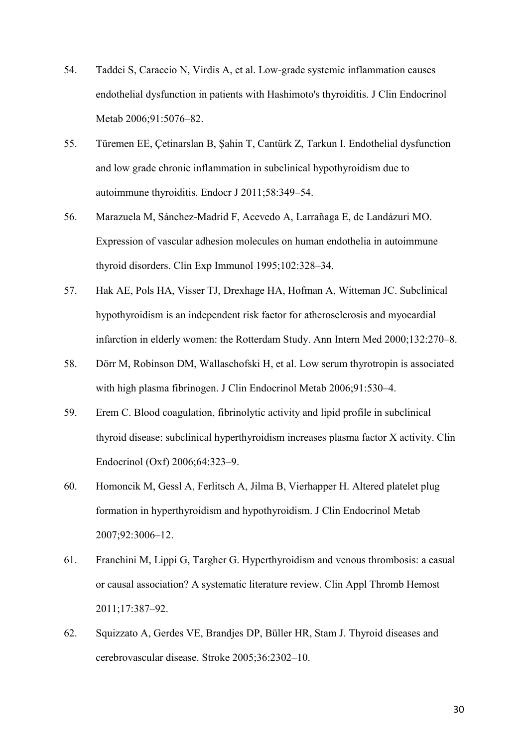- 54. Taddei S, Caraccio N, Virdis A, et al. Low-grade systemic inflammation causes endothelial dysfunction in patients with Hashimoto's thyroiditis. J Clin Endocrinol Metab 2006;91:5076–82.
- 55. Türemen EE, Çetinarslan B, Şahin T, Cantürk Z, Tarkun I. Endothelial dysfunction and low grade chronic inflammation in subclinical hypothyroidism due to autoimmune thyroiditis. Endocr J 2011;58:349–54.
- 56. Marazuela M, Sánchez-Madrid F, Acevedo A, Larrañaga E, de Landázuri MO. Expression of vascular adhesion molecules on human endothelia in autoimmune thyroid disorders. Clin Exp Immunol 1995;102:328–34.
- 57. Hak AE, Pols HA, Visser TJ, Drexhage HA, Hofman A, Witteman JC. Subclinical hypothyroidism is an independent risk factor for atherosclerosis and myocardial infarction in elderly women: the Rotterdam Study. Ann Intern Med 2000;132:270–8.
- 58. Dörr M, Robinson DM, Wallaschofski H, et al. Low serum thyrotropin is associated with high plasma fibrinogen. J Clin Endocrinol Metab 2006;91:530–4.
- 59. Erem C. Blood coagulation, fibrinolytic activity and lipid profile in subclinical thyroid disease: subclinical hyperthyroidism increases plasma factor X activity. Clin Endocrinol (Oxf) 2006;64:323–9.
- 60. Homoncik M, Gessl A, Ferlitsch A, Jilma B, Vierhapper H. Altered platelet plug formation in hyperthyroidism and hypothyroidism. J Clin Endocrinol Metab 2007;92:3006–12.
- 61. Franchini M, Lippi G, Targher G. Hyperthyroidism and venous thrombosis: a casual or causal association? A systematic literature review. Clin Appl Thromb Hemost 2011;17:387–92.
- 62. Squizzato A, Gerdes VE, Brandjes DP, Büller HR, Stam J. Thyroid diseases and cerebrovascular disease. Stroke 2005;36:2302–10.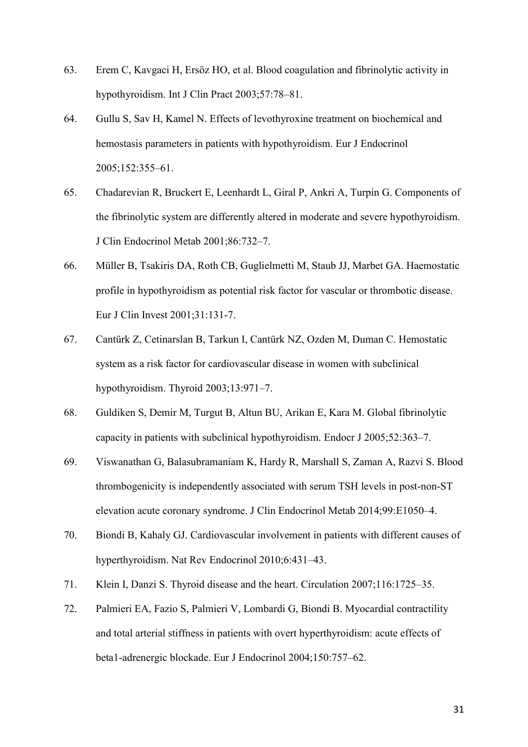- 63. Erem C, Kavgaci H, Ersöz HO, et al. Blood coagulation and fibrinolytic activity in hypothyroidism. Int J Clin Pract 2003;57:78–81.
- 64. Gullu S, Sav H, Kamel N. Effects of levothyroxine treatment on biochemical and hemostasis parameters in patients with hypothyroidism. Eur J Endocrinol 2005;152:355–61.
- 65. Chadarevian R, Bruckert E, Leenhardt L, Giral P, Ankri A, Turpin G. Components of the fibrinolytic system are differently altered in moderate and severe hypothyroidism. J Clin Endocrinol Metab 2001;86:732–7.
- 66. Müller B, Tsakiris DA, Roth CB, Guglielmetti M, Staub JJ, Marbet GA. Haemostatic profile in hypothyroidism as potential risk factor for vascular or thrombotic disease. Eur J Clin Invest 2001;31:131-7.
- 67. Cantürk Z, Cetinarslan B, Tarkun I, Cantürk NZ, Ozden M, Duman C. Hemostatic system as a risk factor for cardiovascular disease in women with subclinical hypothyroidism. Thyroid 2003;13:971–7.
- 68. Guldiken S, Demir M, Turgut B, Altun BU, Arikan E, Kara M. Global fibrinolytic capacity in patients with subclinical hypothyroidism. Endocr J 2005;52:363–7.
- 69. Viswanathan G, Balasubramaniam K, Hardy R, Marshall S, Zaman A, Razvi S. Blood thrombogenicity is independently associated with serum TSH levels in post-non-ST elevation acute coronary syndrome. J Clin Endocrinol Metab 2014;99:E1050–4.
- 70. Biondi B, Kahaly GJ. Cardiovascular involvement in patients with different causes of hyperthyroidism. Nat Rev Endocrinol 2010;6:431–43.
- 71. Klein I, Danzi S. Thyroid disease and the heart. Circulation 2007;116:1725–35.
- 72. Palmieri EA, Fazio S, Palmieri V, Lombardi G, Biondi B. Myocardial contractility and total arterial stiffness in patients with overt hyperthyroidism: acute effects of beta1-adrenergic blockade. Eur J Endocrinol 2004;150:757–62.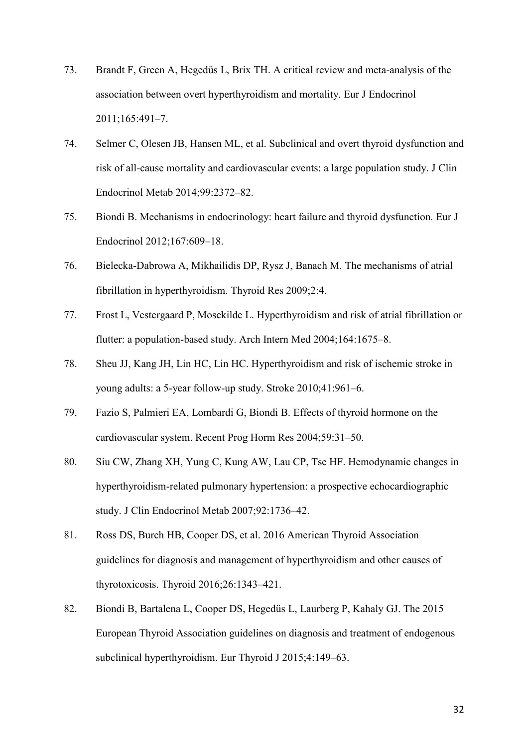- 73. Brandt F, Green A, Hegedüs L, Brix TH. A critical review and meta-analysis of the association between overt hyperthyroidism and mortality. Eur J Endocrinol 2011;165:491–7.
- 74. Selmer C, Olesen JB, Hansen ML, et al. Subclinical and overt thyroid dysfunction and risk of all-cause mortality and cardiovascular events: a large population study. J Clin Endocrinol Metab 2014;99:2372–82.
- 75. Biondi B. Mechanisms in endocrinology: heart failure and thyroid dysfunction. Eur J Endocrinol 2012;167:609–18.
- 76. Bielecka-Dabrowa A, Mikhailidis DP, Rysz J, Banach M. The mechanisms of atrial fibrillation in hyperthyroidism. Thyroid Res 2009;2:4.
- 77. Frost L, Vestergaard P, Mosekilde L. Hyperthyroidism and risk of atrial fibrillation or flutter: a population-based study. Arch Intern Med 2004;164:1675–8.
- 78. Sheu JJ, Kang JH, Lin HC, Lin HC. Hyperthyroidism and risk of ischemic stroke in young adults: a 5-year follow-up study. Stroke 2010;41:961–6.
- 79. Fazio S, Palmieri EA, Lombardi G, Biondi B. Effects of thyroid hormone on the cardiovascular system. Recent Prog Horm Res 2004;59:31–50.
- 80. Siu CW, Zhang XH, Yung C, Kung AW, Lau CP, Tse HF. Hemodynamic changes in hyperthyroidism-related pulmonary hypertension: a prospective echocardiographic study. J Clin Endocrinol Metab 2007;92:1736–42.
- 81. Ross DS, Burch HB, Cooper DS, et al. 2016 American Thyroid Association guidelines for diagnosis and management of hyperthyroidism and other causes of thyrotoxicosis. Thyroid 2016;26:1343–421.
- 82. Biondi B, Bartalena L, Cooper DS, Hegedüs L, Laurberg P, Kahaly GJ. The 2015 European Thyroid Association guidelines on diagnosis and treatment of endogenous subclinical hyperthyroidism. Eur Thyroid J 2015;4:149–63.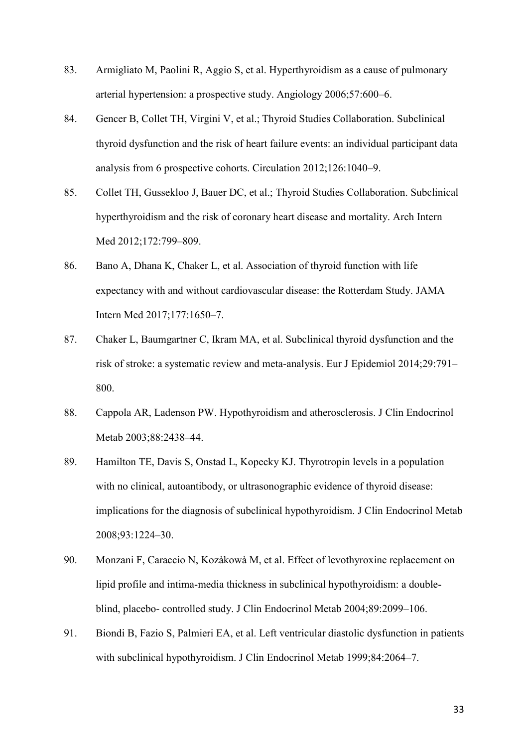- 83. Armigliato M, Paolini R, Aggio S, et al. Hyperthyroidism as a cause of pulmonary arterial hypertension: a prospective study. Angiology 2006;57:600–6.
- 84. Gencer B, Collet TH, Virgini V, et al.; Thyroid Studies Collaboration. Subclinical thyroid dysfunction and the risk of heart failure events: an individual participant data analysis from 6 prospective cohorts. Circulation 2012;126:1040–9.
- 85. Collet TH, Gussekloo J, Bauer DC, et al.; Thyroid Studies Collaboration. Subclinical hyperthyroidism and the risk of coronary heart disease and mortality. Arch Intern Med 2012;172:799–809.
- 86. Bano A, Dhana K, Chaker L, et al. Association of thyroid function with life expectancy with and without cardiovascular disease: the Rotterdam Study. JAMA Intern Med 2017;177:1650–7.
- 87. Chaker L, Baumgartner C, Ikram MA, et al. Subclinical thyroid dysfunction and the risk of stroke: a systematic review and meta-analysis. Eur J Epidemiol 2014;29:791– 800.
- 88. Cappola AR, Ladenson PW. Hypothyroidism and atherosclerosis. J Clin Endocrinol Metab 2003;88:2438–44.
- 89. Hamilton TE, Davis S, Onstad L, Kopecky KJ. Thyrotropin levels in a population with no clinical, autoantibody, or ultrasonographic evidence of thyroid disease: implications for the diagnosis of subclinical hypothyroidism. J Clin Endocrinol Metab 2008;93:1224–30.
- 90. Monzani F, Caraccio N, Kozàkowà M, et al. Effect of levothyroxine replacement on lipid profile and intima-media thickness in subclinical hypothyroidism: a doubleblind, placebo- controlled study. J Clin Endocrinol Metab 2004;89:2099–106.
- 91. Biondi B, Fazio S, Palmieri EA, et al. Left ventricular diastolic dysfunction in patients with subclinical hypothyroidism. J Clin Endocrinol Metab 1999;84:2064–7.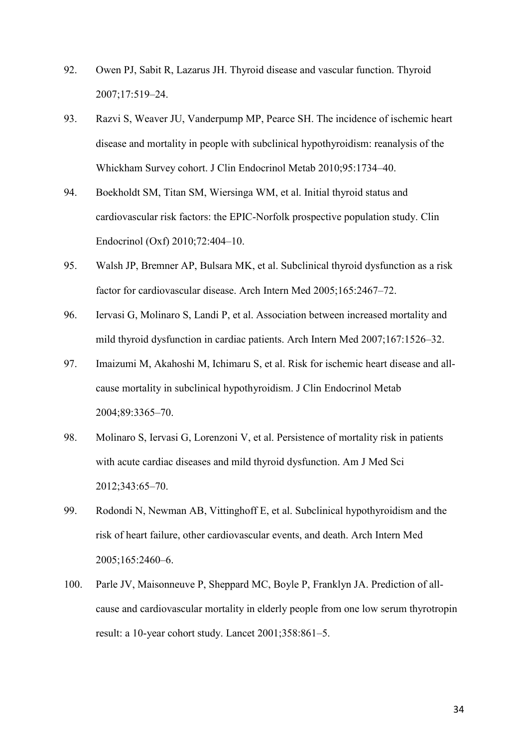- 92. Owen PJ, Sabit R, Lazarus JH. Thyroid disease and vascular function. Thyroid 2007;17:519–24.
- 93. Razvi S, Weaver JU, Vanderpump MP, Pearce SH. The incidence of ischemic heart disease and mortality in people with subclinical hypothyroidism: reanalysis of the Whickham Survey cohort. J Clin Endocrinol Metab 2010;95:1734–40.
- 94. Boekholdt SM, Titan SM, Wiersinga WM, et al. Initial thyroid status and cardiovascular risk factors: the EPIC-Norfolk prospective population study. Clin Endocrinol (Oxf) 2010;72:404–10.
- 95. Walsh JP, Bremner AP, Bulsara MK, et al. Subclinical thyroid dysfunction as a risk factor for cardiovascular disease. Arch Intern Med 2005;165:2467–72.
- 96. Iervasi G, Molinaro S, Landi P, et al. Association between increased mortality and mild thyroid dysfunction in cardiac patients. Arch Intern Med 2007;167:1526–32.
- 97. Imaizumi M, Akahoshi M, Ichimaru S, et al. Risk for ischemic heart disease and allcause mortality in subclinical hypothyroidism. J Clin Endocrinol Metab 2004;89:3365–70.
- 98. Molinaro S, Iervasi G, Lorenzoni V, et al. Persistence of mortality risk in patients with acute cardiac diseases and mild thyroid dysfunction. Am J Med Sci 2012;343:65–70.
- 99. Rodondi N, Newman AB, Vittinghoff E, et al. Subclinical hypothyroidism and the risk of heart failure, other cardiovascular events, and death. Arch Intern Med 2005;165:2460–6.
- 100. Parle JV, Maisonneuve P, Sheppard MC, Boyle P, Franklyn JA. Prediction of allcause and cardiovascular mortality in elderly people from one low serum thyrotropin result: a 10-year cohort study. Lancet 2001;358:861–5.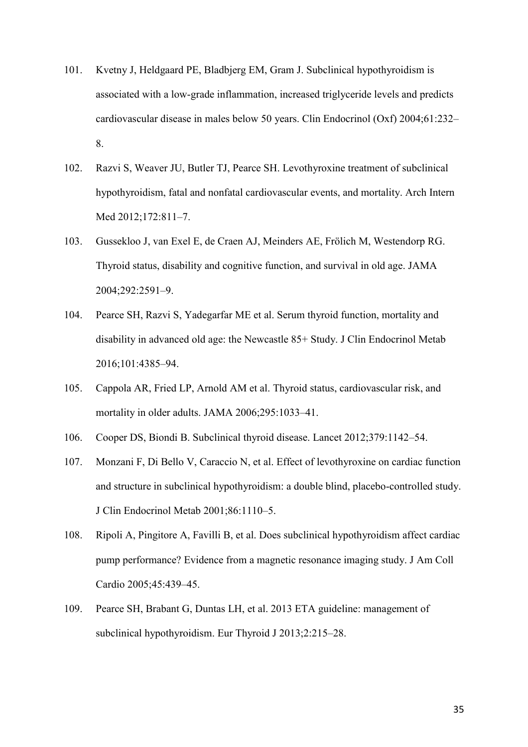- 101. Kvetny J, Heldgaard PE, Bladbjerg EM, Gram J. Subclinical hypothyroidism is associated with a low-grade inflammation, increased triglyceride levels and predicts cardiovascular disease in males below 50 years. Clin Endocrinol (Oxf) 2004;61:232– 8.
- 102. Razvi S, Weaver JU, Butler TJ, Pearce SH. Levothyroxine treatment of subclinical hypothyroidism, fatal and nonfatal cardiovascular events, and mortality. Arch Intern Med 2012;172:811–7.
- 103. Gussekloo J, van Exel E, de Craen AJ, Meinders AE, Frölich M, Westendorp RG. Thyroid status, disability and cognitive function, and survival in old age. JAMA 2004;292:2591–9.
- 104. Pearce SH, Razvi S, Yadegarfar ME et al. Serum thyroid function, mortality and disability in advanced old age: the Newcastle 85+ Study. J Clin Endocrinol Metab 2016;101:4385–94.
- 105. Cappola AR, Fried LP, Arnold AM et al. Thyroid status, cardiovascular risk, and mortality in older adults. JAMA 2006;295:1033–41.
- 106. Cooper DS, Biondi B. Subclinical thyroid disease. Lancet 2012;379:1142–54.
- 107. Monzani F, Di Bello V, Caraccio N, et al. Effect of levothyroxine on cardiac function and structure in subclinical hypothyroidism: a double blind, placebo-controlled study. J Clin Endocrinol Metab 2001;86:1110–5.
- 108. Ripoli A, Pingitore A, Favilli B, et al. Does subclinical hypothyroidism affect cardiac pump performance? Evidence from a magnetic resonance imaging study. J Am Coll Cardio 2005;45:439–45.
- 109. Pearce SH, Brabant G, Duntas LH, et al. 2013 ETA guideline: management of subclinical hypothyroidism. Eur Thyroid J 2013;2:215–28.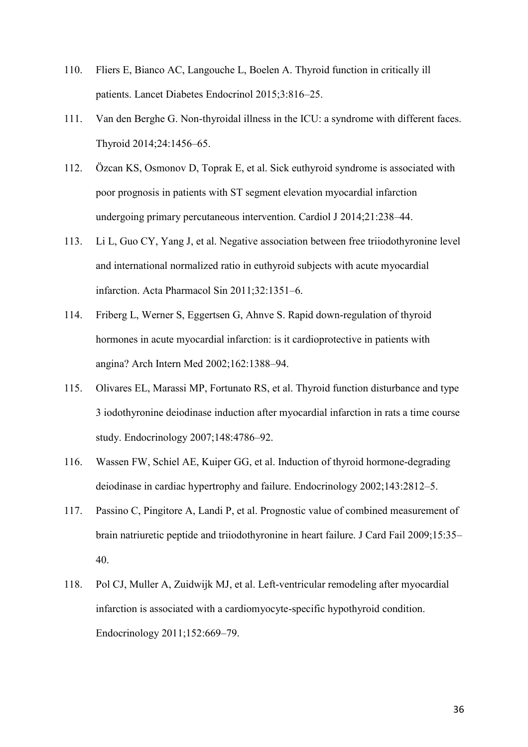- 110. Fliers E, Bianco AC, Langouche L, Boelen A. Thyroid function in critically ill patients. Lancet Diabetes Endocrinol 2015;3:816–25.
- 111. Van den Berghe G. Non-thyroidal illness in the ICU: a syndrome with different faces. Thyroid 2014;24:1456–65.
- 112. Özcan KS, Osmonov D, Toprak E, et al. Sick euthyroid syndrome is associated with poor prognosis in patients with ST segment elevation myocardial infarction undergoing primary percutaneous intervention. Cardiol J 2014;21:238–44.
- 113. Li L, Guo CY, Yang J, et al. Negative association between free triiodothyronine level and international normalized ratio in euthyroid subjects with acute myocardial infarction. Acta Pharmacol Sin 2011;32:1351–6.
- 114. Friberg L, Werner S, Eggertsen G, Ahnve S. Rapid down-regulation of thyroid hormones in acute myocardial infarction: is it cardioprotective in patients with angina? Arch Intern Med 2002;162:1388–94.
- 115. Olivares EL, Marassi MP, Fortunato RS, et al. Thyroid function disturbance and type 3 iodothyronine deiodinase induction after myocardial infarction in rats a time course study. Endocrinology 2007;148:4786–92.
- 116. Wassen FW, Schiel AE, Kuiper GG, et al. Induction of thyroid hormone-degrading deiodinase in cardiac hypertrophy and failure. Endocrinology 2002;143:2812–5.
- 117. Passino C, Pingitore A, Landi P, et al. Prognostic value of combined measurement of brain natriuretic peptide and triiodothyronine in heart failure. J Card Fail 2009;15:35– 40.
- 118. Pol CJ, Muller A, Zuidwijk MJ, et al. Left-ventricular remodeling after myocardial infarction is associated with a cardiomyocyte-specific hypothyroid condition. Endocrinology 2011;152:669–79.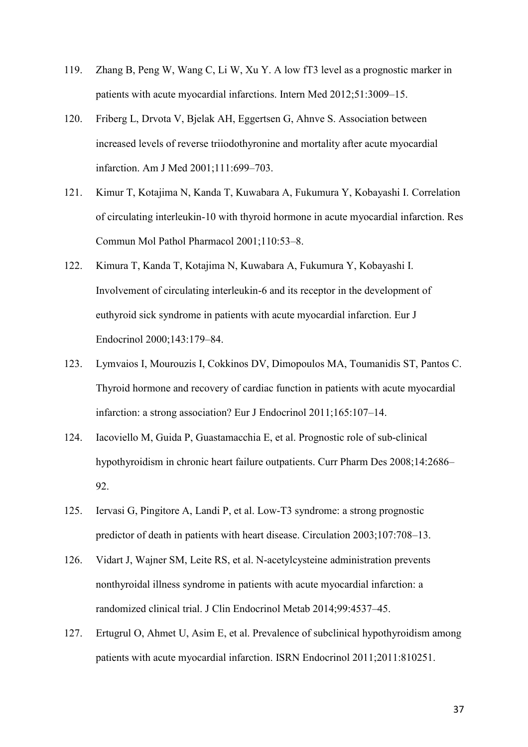- 119. Zhang B, Peng W, Wang C, Li W, Xu Y. A low fT3 level as a prognostic marker in patients with acute myocardial infarctions. Intern Med 2012;51:3009–15.
- 120. Friberg L, Drvota V, Bjelak AH, Eggertsen G, Ahnve S. Association between increased levels of reverse triiodothyronine and mortality after acute myocardial infarction. Am J Med 2001;111:699–703.
- 121. Kimur T, Kotajima N, Kanda T, Kuwabara A, Fukumura Y, Kobayashi I. Correlation of circulating interleukin-10 with thyroid hormone in acute myocardial infarction. Res Commun Mol Pathol Pharmacol 2001;110:53–8.
- 122. Kimura T, Kanda T, Kotajima N, Kuwabara A, Fukumura Y, Kobayashi I. Involvement of circulating interleukin-6 and its receptor in the development of euthyroid sick syndrome in patients with acute myocardial infarction. Eur J Endocrinol 2000;143:179–84.
- 123. Lymvaios I, Mourouzis I, Cokkinos DV, Dimopoulos MA, Toumanidis ST, Pantos C. Thyroid hormone and recovery of cardiac function in patients with acute myocardial infarction: a strong association? Eur J Endocrinol 2011;165:107–14.
- 124. Iacoviello M, Guida P, Guastamacchia E, et al. Prognostic role of sub-clinical hypothyroidism in chronic heart failure outpatients. Curr Pharm Des 2008;14:2686– 92.
- 125. Iervasi G, Pingitore A, Landi P, et al. Low-T3 syndrome: a strong prognostic predictor of death in patients with heart disease. Circulation 2003;107:708–13.
- 126. Vidart J, Wajner SM, Leite RS, et al. N-acetylcysteine administration prevents nonthyroidal illness syndrome in patients with acute myocardial infarction: a randomized clinical trial. J Clin Endocrinol Metab 2014;99:4537–45.
- 127. Ertugrul O, Ahmet U, Asim E, et al. Prevalence of subclinical hypothyroidism among patients with acute myocardial infarction. ISRN Endocrinol 2011;2011:810251.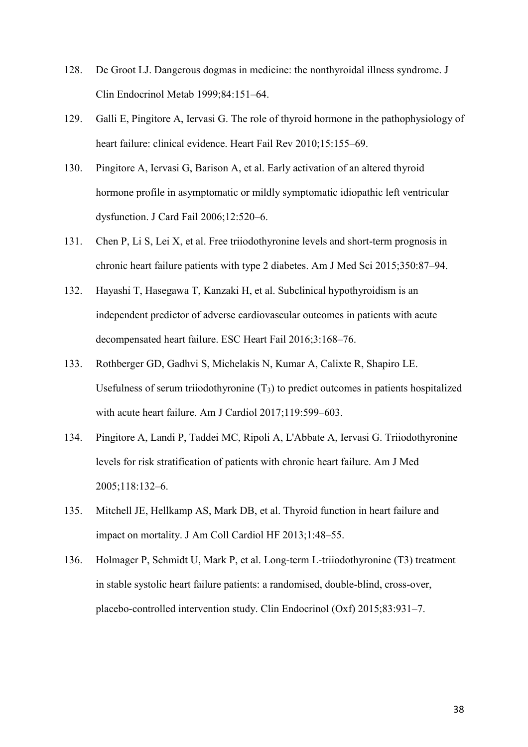- 128. De Groot LJ. Dangerous dogmas in medicine: the nonthyroidal illness syndrome. J Clin Endocrinol Metab 1999;84:151–64.
- 129. Galli E, Pingitore A, Iervasi G. The role of thyroid hormone in the pathophysiology of heart failure: clinical evidence. Heart Fail Rev 2010;15:155–69.
- 130. Pingitore A, Iervasi G, Barison A, et al. Early activation of an altered thyroid hormone profile in asymptomatic or mildly symptomatic idiopathic left ventricular dysfunction. J Card Fail 2006;12:520–6.
- 131. Chen P, Li S, Lei X, et al. Free triiodothyronine levels and short-term prognosis in chronic heart failure patients with type 2 diabetes. Am J Med Sci 2015;350:87–94.
- 132. Hayashi T, Hasegawa T, Kanzaki H, et al. Subclinical hypothyroidism is an independent predictor of adverse cardiovascular outcomes in patients with acute decompensated heart failure. ESC Heart Fail 2016;3:168–76.
- 133. Rothberger GD, Gadhvi S, Michelakis N, Kumar A, Calixte R, Shapiro LE. Usefulness of serum triiodothyronine  $(T_3)$  to predict outcomes in patients hospitalized with acute heart failure. Am J Cardiol 2017;119:599–603.
- 134. Pingitore A, Landi P, Taddei MC, Ripoli A, L'Abbate A, Iervasi G. Triiodothyronine levels for risk stratification of patients with chronic heart failure. Am J Med 2005;118:132–6.
- 135. Mitchell JE, Hellkamp AS, Mark DB, et al. Thyroid function in heart failure and impact on mortality. J Am Coll Cardiol HF 2013;1:48–55.
- 136. Holmager P, Schmidt U, Mark P, et al. Long-term L-triiodothyronine (T3) treatment in stable systolic heart failure patients: a randomised, double-blind, cross-over, placebo-controlled intervention study. Clin Endocrinol (Oxf) 2015;83:931–7.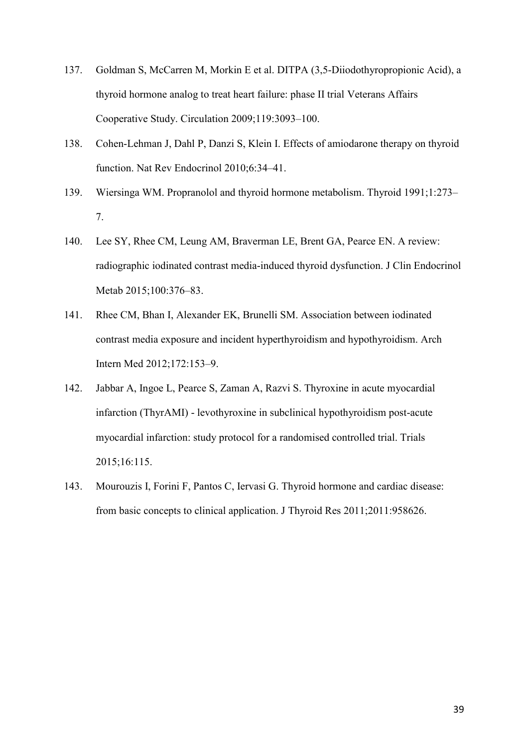- 137. Goldman S, McCarren M, Morkin E et al. DITPA (3,5-Diiodothyropropionic Acid), a thyroid hormone analog to treat heart failure: phase II trial Veterans Affairs Cooperative Study. Circulation 2009;119:3093–100.
- 138. Cohen-Lehman J, Dahl P, Danzi S, Klein I. Effects of amiodarone therapy on thyroid function. Nat Rev Endocrinol 2010;6:34–41.
- 139. Wiersinga WM. Propranolol and thyroid hormone metabolism. Thyroid 1991;1:273– 7.
- 140. Lee SY, Rhee CM, Leung AM, Braverman LE, Brent GA, Pearce EN. A review: radiographic iodinated contrast media-induced thyroid dysfunction. J Clin Endocrinol Metab 2015;100:376–83.
- 141. Rhee CM, Bhan I, Alexander EK, Brunelli SM. Association between iodinated contrast media exposure and incident hyperthyroidism and hypothyroidism. Arch Intern Med 2012;172:153–9.
- 142. Jabbar A, Ingoe L, Pearce S, Zaman A, Razvi S. Thyroxine in acute myocardial infarction (ThyrAMI) - levothyroxine in subclinical hypothyroidism post-acute myocardial infarction: study protocol for a randomised controlled trial. Trials 2015;16:115.
- 143. Mourouzis I, Forini F, Pantos C, Iervasi G. Thyroid hormone and cardiac disease: from basic concepts to clinical application. J Thyroid Res 2011;2011:958626.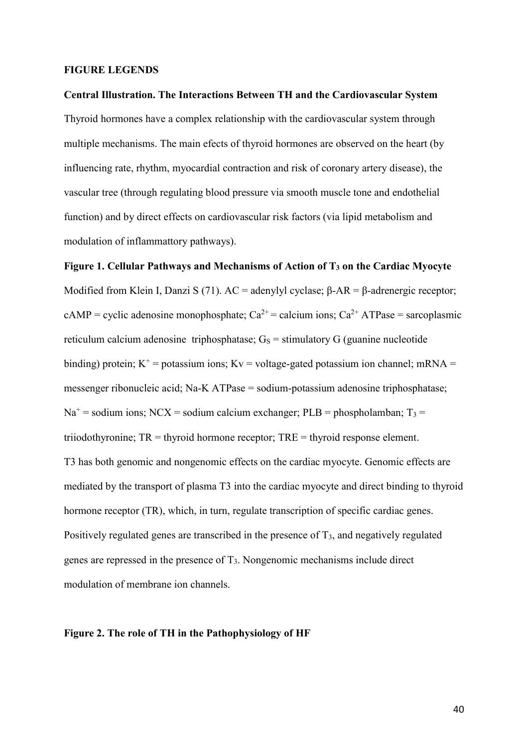#### **FIGURE LEGENDS**

**Central Illustration. The Interactions Between TH and the Cardiovascular System** Thyroid hormones have a complex relationship with the cardiovascular system through multiple mechanisms. The main efects of thyroid hormones are observed on the heart (by influencing rate, rhythm, myocardial contraction and risk of coronary artery disease), the vascular tree (through regulating blood pressure via smooth muscle tone and endothelial function) and by direct effects on cardiovascular risk factors (via lipid metabolism and modulation of inflammattory pathways).

**Figure 1. Cellular Pathways and Mechanisms of Action of T<sup>3</sup> on the Cardiac Myocyte** Modified from Klein I, Danzi S (71). AC = adenylyl cyclase;  $β-AR = β$ -adrenergic receptor; cAMP = cyclic adenosine monophosphate;  $Ca^{2+}$  = calcium ions;  $Ca^{2+}$  ATPase = sarcoplasmic reticulum calcium adenosine triphosphatase;  $G<sub>S</sub>$  = stimulatory G (guanine nucleotide binding) protein;  $K^+$  = potassium ions;  $Kv$  = voltage-gated potassium ion channel; mRNA = messenger ribonucleic acid; Na-K ATPase = sodium-potassium adenosine triphosphatase;  $Na<sup>+</sup>$  = sodium ions; NCX = sodium calcium exchanger; PLB = phospholamban; T<sub>3</sub> = triiodothyronine; TR = thyroid hormone receptor; TRE = thyroid response element. T3 has both genomic and nongenomic effects on the cardiac myocyte. Genomic effects are mediated by the transport of plasma T3 into the cardiac myocyte and direct binding to thyroid hormone receptor (TR), which, in turn, regulate transcription of specific cardiac genes. Positively regulated genes are transcribed in the presence of T<sub>3</sub>, and negatively regulated genes are repressed in the presence of T3. Nongenomic mechanisms include direct modulation of membrane ion channels.

#### **Figure 2. The role of TH in the Pathophysiology of HF**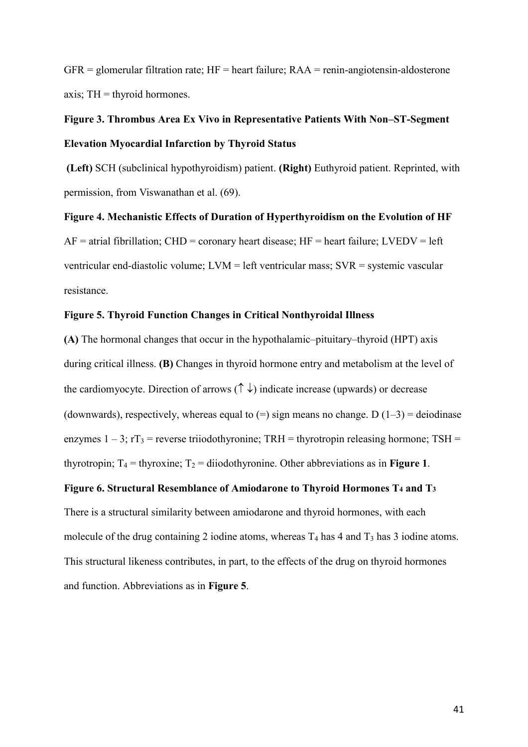$GFR =$  glomerular filtration rate;  $HF =$  heart failure;  $RAA =$  renin-angiotensin-aldosterone axis;  $TH =$  thyroid hormones.

# **Figure 3. Thrombus Area Ex Vivo in Representative Patients With Non–ST-Segment Elevation Myocardial Infarction by Thyroid Status**

**(Left)** SCH (subclinical hypothyroidism) patient. **(Right)** Euthyroid patient. Reprinted, with permission, from Viswanathan et al. (69).

#### **Figure 4. Mechanistic Effects of Duration of Hyperthyroidism on the Evolution of HF**

 $AF =$  atrial fibrillation; CHD = coronary heart disease; HF = heart failure; LVEDV = left ventricular end-diastolic volume; LVM = left ventricular mass; SVR = systemic vascular resistance.

## **Figure 5. Thyroid Function Changes in Critical Nonthyroidal Illness**

**(A)** The hormonal changes that occur in the hypothalamic–pituitary–thyroid (HPT) axis during critical illness. **(B)** Changes in thyroid hormone entry and metabolism at the level of the cardiomyocyte. Direction of arrows  $(\uparrow \downarrow)$  indicate increase (upwards) or decrease (downwards), respectively, whereas equal to  $(=)$  sign means no change. D  $(1-3)$  = deiodinase enzymes  $1 - 3$ ;  $rT_3$  = reverse triiodothyronine; TRH = thyrotropin releasing hormone; TSH = thyrotropin;  $T_4$  = thyroxine;  $T_2$  = diiodothyronine. Other abbreviations as in **Figure 1**.

#### **Figure 6. Structural Resemblance of Amiodarone to Thyroid Hormones T<sup>4</sup> and T<sup>3</sup>**

There is a structural similarity between amiodarone and thyroid hormones, with each molecule of the drug containing 2 iodine atoms, whereas  $T_4$  has 4 and  $T_3$  has 3 iodine atoms. This structural likeness contributes, in part, to the effects of the drug on thyroid hormones and function. Abbreviations as in **Figure 5**.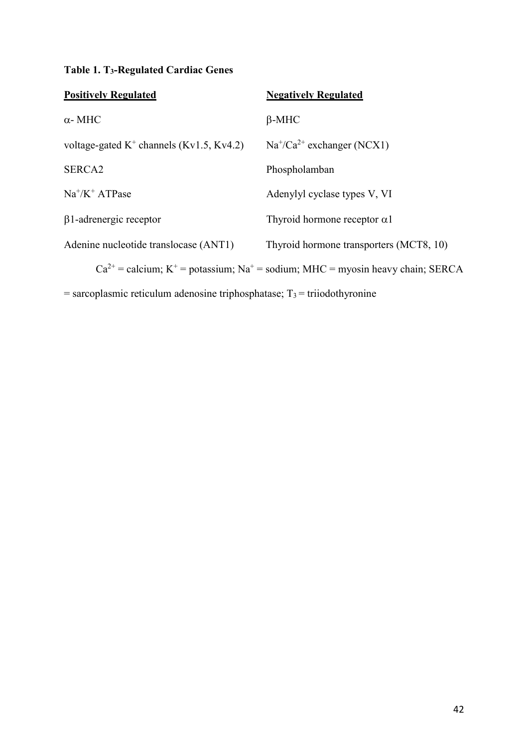# **Table 1. T3-Regulated Cardiac Genes**

| <b>Positively Regulated</b>                 | <b>Negatively Regulated</b>                                                                                |
|---------------------------------------------|------------------------------------------------------------------------------------------------------------|
| $\alpha$ - MHC                              | $\beta$ -MHC                                                                                               |
| voltage-gated $K^+$ channels (Kv1.5, Kv4.2) | $Na^{+}/Ca^{2+}$ exchanger (NCX1)                                                                          |
| SERCA2                                      | Phospholamban                                                                                              |
| $Na^+/K^+ATPase$                            | Adenylyl cyclase types V, VI                                                                               |
| $\beta$ 1-adrenergic receptor               | Thyroid hormone receptor $\alpha$ 1                                                                        |
| Adenine nucleotide translocase (ANT1)       | Thyroid hormone transporters (MCT8, 10)                                                                    |
|                                             | $Ca^{2+} =$ calcium; K <sup>+</sup> = potassium; Na <sup>+</sup> = sodium; MHC = myosin heavy chain; SERCA |

 $=$  sarcoplasmic reticulum adenosine triphosphatase;  $T_3 =$  triiodothyronine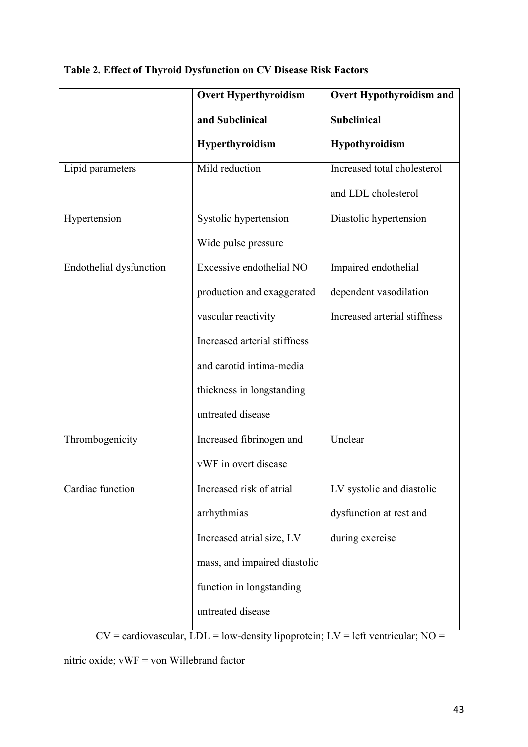|                         | <b>Overt Hyperthyroidism</b> | <b>Overt Hypothyroidism and</b> |
|-------------------------|------------------------------|---------------------------------|
|                         | and Subclinical              | Subclinical                     |
|                         | <b>Hyperthyroidism</b>       | Hypothyroidism                  |
| Lipid parameters        | Mild reduction               | Increased total cholesterol     |
|                         |                              | and LDL cholesterol             |
| Hypertension            | Systolic hypertension        | Diastolic hypertension          |
|                         | Wide pulse pressure          |                                 |
| Endothelial dysfunction | Excessive endothelial NO     | Impaired endothelial            |
|                         | production and exaggerated   | dependent vasodilation          |
|                         | vascular reactivity          | Increased arterial stiffness    |
|                         | Increased arterial stiffness |                                 |
|                         | and carotid intima-media     |                                 |
|                         | thickness in longstanding    |                                 |
|                         | untreated disease            |                                 |
| Thrombogenicity         | Increased fibrinogen and     | Unclear                         |
|                         | vWF in overt disease         |                                 |
| Cardiac function        | Increased risk of atrial     | LV systolic and diastolic       |
|                         | arrhythmias                  | dysfunction at rest and         |
|                         | Increased atrial size, LV    | during exercise                 |
|                         | mass, and impaired diastolic |                                 |
|                         | function in longstanding     |                                 |
|                         | untreated disease            |                                 |

# **Table 2. Effect of Thyroid Dysfunction on CV Disease Risk Factors**

 $CV = \text{cardiovascular}, \overrightarrow{LDL} = \text{low-density lipoprotein}; LV = \text{left ventricular}; NO =$ 

nitric oxide; vWF = von Willebrand factor